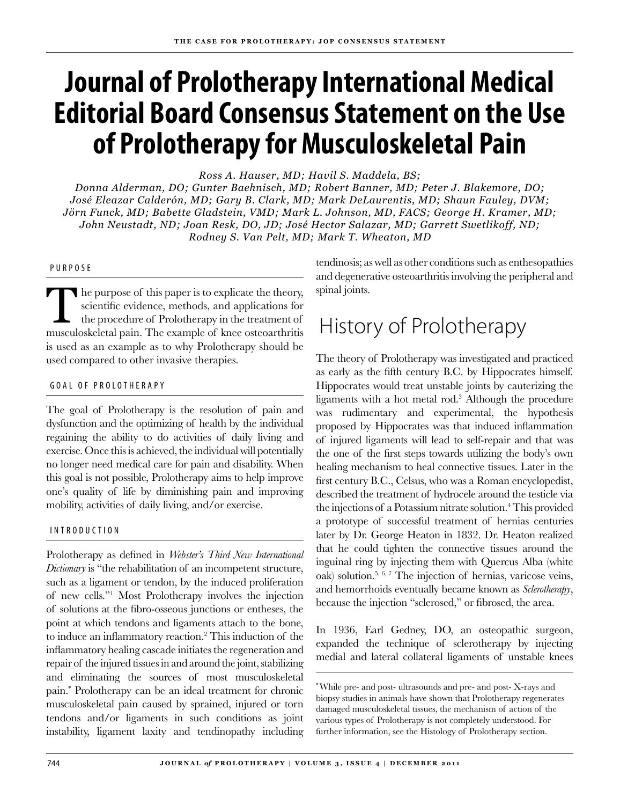# **Journal of Prolotherapy International Medical Editorial Board Consensus Statement on the Use of Prolotherapy for Musculoskeletal Pain**

*Ross A. Hauser, MD; Havil S. Maddela, BS;*

*Donna Alderman, DO; Gunter Baehnisch, MD; Robert Banner, MD; Peter J. Blakemore, DO; José Eleazar Calderón, MD; Gary B. Clark, MD; Mark DeLaurentis, MD; Shaun Fauley, DVM; Jörn Funck, MD; Babette Gladstein, VMD; Mark L. Johnson, MD, FACS; George H. Kramer, MD; John Neustadt, ND; Joan Resk, DO, JD; José Hector Salazar, MD; Garrett Swetlikoff, ND; Rodney S. Van Pelt, MD; Mark T. Wheaton, MD*

#### P U R P O S E

The purpose of this paper is to explicate the theory,<br>scientific evidence, methods, and applications for<br>the procedure of Prolotherapy in the treatment of scientific evidence, methods, and applications for the procedure of Prolotherapy in the treatment of musculoskeletal pain. The example of knee osteoarthritis is used as an example as to why Prolotherapy should be used compared to other invasive therapies.

#### GOAL OF PROLOTHERAPY

The goal of Prolotherapy is the resolution of pain and dysfunction and the optimizing of health by the individual regaining the ability to do activities of daily living and exercise. Once this is achieved, the individual will potentially no longer need medical care for pain and disability. When this goal is not possible, Prolotherapy aims to help improve one's quality of life by diminishing pain and improving mobility, activities of daily living, and/or exercise.

#### INTRODUCTION

Prolotherapy as defined in *Webster's Third New International Dictionary* is "the rehabilitation of an incompetent structure, such as a ligament or tendon, by the induced proliferation of new cells."1 Most Prolotherapy involves the injection of solutions at the fibro-osseous junctions or entheses, the point at which tendons and ligaments attach to the bone, to induce an inflammatory reaction.<sup>2</sup> This induction of the inflammatory healing cascade initiates the regeneration and repair of the injured tissues in and around the joint, stabilizing and eliminating the sources of most musculoskeletal pain.\* Prolotherapy can be an ideal treatment for chronic musculoskeletal pain caused by sprained, injured or torn tendons and/or ligaments in such conditions as joint instability, ligament laxity and tendinopathy including

tendinosis; as well as other conditions such as enthesopathies and degenerative osteoarthritis involving the peripheral and spinal joints.

### History of Prolotherapy

The theory of Prolotherapy was investigated and practiced as early as the fifth century B.C. by Hippocrates himself. Hippocrates would treat unstable joints by cauterizing the ligaments with a hot metal rod.3 Although the procedure was rudimentary and experimental, the hypothesis proposed by Hippocrates was that induced inflammation of injured ligaments will lead to self-repair and that was the one of the first steps towards utilizing the body's own healing mechanism to heal connective tissues. Later in the first century B.C., Celsus, who was a Roman encyclopedist, described the treatment of hydrocele around the testicle via the injections of a Potassium nitrate solution.<sup>4</sup> This provided a prototype of successful treatment of hernias centuries later by Dr. George Heaton in 1832. Dr. Heaton realized that he could tighten the connective tissues around the inguinal ring by injecting them with Quercus Alba (white oak) solution.<sup>5, 6, 7</sup> The injection of hernias, varicose veins, and hemorrhoids eventually became known as *Sclerotherapy*, because the injection "sclerosed," or fibrosed, the area.

In 1936, Earl Gedney, DO, an osteopathic surgeon, expanded the technique of sclerotherapy by injecting medial and lateral collateral ligaments of unstable knees

<sup>\*</sup> While pre- and post- ultrasounds and pre- and post- X-rays and biopsy studies in animals have shown that Prolotherapy regenerates damaged musculoskeletal tissues, the mechanism of action of the various types of Prolotherapy is not completely understood. For further information, see the Histology of Prolotherapy section.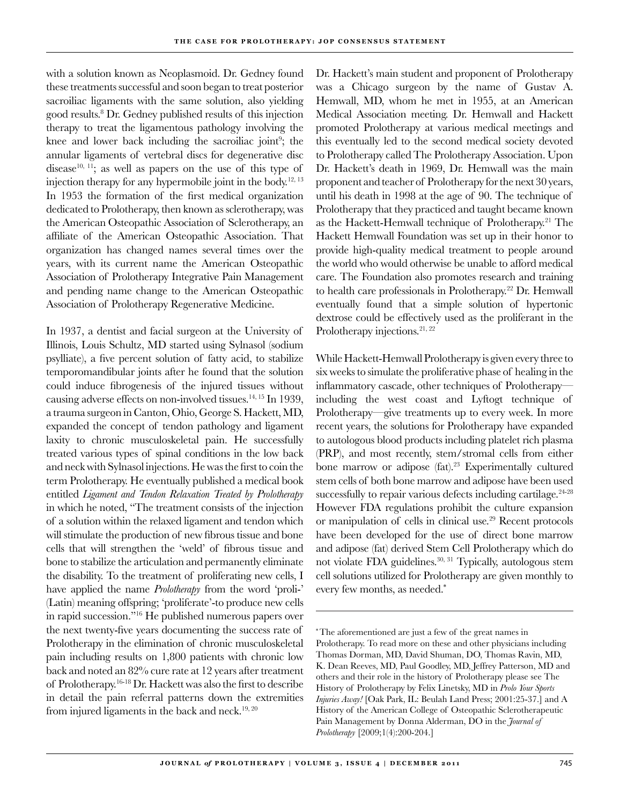with a solution known as Neoplasmoid. Dr. Gedney found these treatments successful and soon began to treat posterior sacroiliac ligaments with the same solution, also yielding good results.8 Dr. Gedney published results of this injection therapy to treat the ligamentous pathology involving the knee and lower back including the sacroiliac joint<sup>9</sup>; the annular ligaments of vertebral discs for degenerative disc disease<sup>10, 11</sup>; as well as papers on the use of this type of injection therapy for any hypermobile joint in the body.<sup>12, 13</sup> In 1953 the formation of the first medical organization dedicated to Prolotherapy, then known as sclerotherapy, was the American Osteopathic Association of Sclerotherapy, an affiliate of the American Osteopathic Association. That organization has changed names several times over the years, with its current name the American Osteopathic Association of Prolotherapy Integrative Pain Management and pending name change to the American Osteopathic Association of Prolotherapy Regenerative Medicine.

In 1937, a dentist and facial surgeon at the University of Illinois, Louis Schultz, MD started using Sylnasol (sodium psylliate), a five percent solution of fatty acid, to stabilize temporomandibular joints after he found that the solution could induce fibrogenesis of the injured tissues without causing adverse effects on non-involved tissues.<sup>14, 15</sup> In 1939, a trauma surgeon in Canton, Ohio, George S. Hackett, MD, expanded the concept of tendon pathology and ligament laxity to chronic musculoskeletal pain. He successfully treated various types of spinal conditions in the low back and neck with Sylnasol injections. He was the first to coin the term Prolotherapy. He eventually published a medical book entitled *Ligament and Tendon Relaxation Treated by Prolotherapy* in which he noted, "The treatment consists of the injection of a solution within the relaxed ligament and tendon which will stimulate the production of new fibrous tissue and bone cells that will strengthen the 'weld' of fibrous tissue and bone to stabilize the articulation and permanently eliminate the disability. To the treatment of proliferating new cells, I have applied the name *Prolotherapy* from the word 'proli-' (Latin) meaning offspring; 'proliferate'-to produce new cells in rapid succession."16 He published numerous papers over the next twenty-five years documenting the success rate of Prolotherapy in the elimination of chronic musculoskeletal pain including results on 1,800 patients with chronic low back and noted an 82% cure rate at 12 years after treatment of Prolotherapy.16-18 Dr. Hackett was also the first to describe in detail the pain referral patterns down the extremities from injured ligaments in the back and neck.<sup>19, 20</sup>

Dr. Hackett's main student and proponent of Prolotherapy was a Chicago surgeon by the name of Gustav A. Hemwall, MD, whom he met in 1955, at an American Medical Association meeting. Dr. Hemwall and Hackett promoted Prolotherapy at various medical meetings and this eventually led to the second medical society devoted to Prolotherapy called The Prolotherapy Association. Upon Dr. Hackett's death in 1969, Dr. Hemwall was the main proponent and teacher of Prolotherapy for the next 30 years, until his death in 1998 at the age of 90. The technique of Prolotherapy that they practiced and taught became known as the Hackett-Hemwall technique of Prolotherapy.<sup>21</sup> The Hackett Hemwall Foundation was set up in their honor to provide high-quality medical treatment to people around the world who would otherwise be unable to afford medical care. The Foundation also promotes research and training to health care professionals in Prolotherapy.<sup>22</sup> Dr. Hemwall eventually found that a simple solution of hypertonic dextrose could be effectively used as the proliferant in the Prolotherapy injections.<sup>21, 22</sup>

While Hackett-Hemwall Prolotherapy is given every three to six weeks to simulate the proliferative phase of healing in the inflammatory cascade, other techniques of Prolotherapy including the west coast and Lyftogt technique of Prolotherapy—give treatments up to every week. In more recent years, the solutions for Prolotherapy have expanded to autologous blood products including platelet rich plasma (PRP), and most recently, stem/stromal cells from either bone marrow or adipose (fat).<sup>23</sup> Experimentally cultured stem cells of both bone marrow and adipose have been used successfully to repair various defects including cartilage.<sup>24-28</sup> However FDA regulations prohibit the culture expansion or manipulation of cells in clinical use.29 Recent protocols have been developed for the use of direct bone marrow and adipose (fat) derived Stem Cell Prolotherapy which do not violate FDA guidelines.<sup>30, 31</sup> Typically, autologous stem cell solutions utilized for Prolotherapy are given monthly to every few months, as needed.\*

<sup>\*</sup> The aforementioned are just a few of the great names in Prolotherapy. To read more on these and other physicians including Thomas Dorman, MD, David Shuman, DO, Thomas Ravin, MD, K. Dean Reeves, MD, Paul Goodley, MD, Jeffrey Patterson, MD and others and their role in the history of Prolotherapy please see The History of Prolotherapy by Felix Linetsky, MD in *Prolo Your Sports Injuries Away!* [Oak Park, IL: Beulah Land Press; 2001:25-37.] and A History of the American College of Osteopathic Sclerotherapeutic Pain Management by Donna Alderman, DO in the *Journal of Prolotherapy* [2009;1(4):200-204.]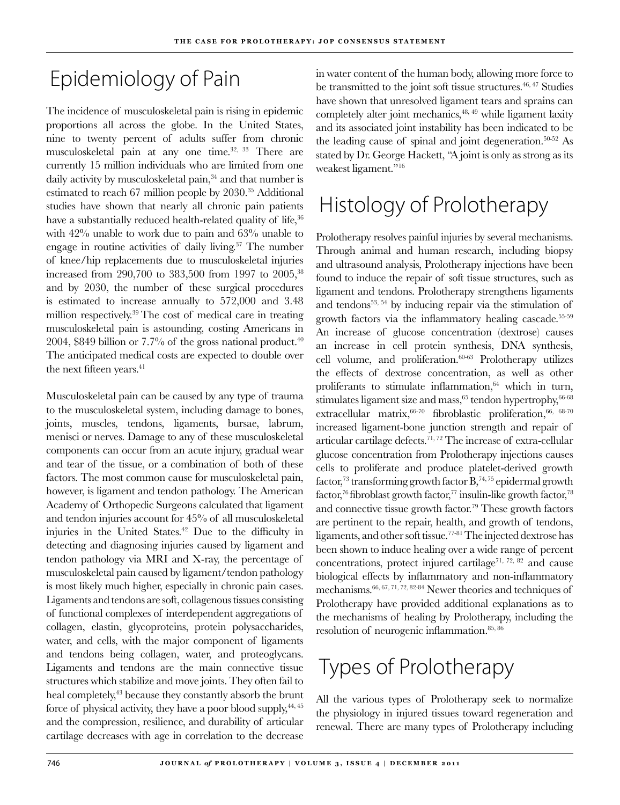## Epidemiology of Pain

The incidence of musculoskeletal pain is rising in epidemic proportions all across the globe. In the United States, nine to twenty percent of adults suffer from chronic musculoskeletal pain at any one time.32, 33 There are currently 15 million individuals who are limited from one daily activity by musculoskeletal pain, $34$  and that number is estimated to reach 67 million people by 2030.35 Additional studies have shown that nearly all chronic pain patients have a substantially reduced health-related quality of life,<sup>36</sup> with 42% unable to work due to pain and 63% unable to engage in routine activities of daily living.<sup>37</sup> The number of knee/hip replacements due to musculoskeletal injuries increased from 290,700 to 383,500 from 1997 to 2005,<sup>38</sup> and by 2030, the number of these surgical procedures is estimated to increase annually to 572,000 and 3.48 million respectively.39 The cost of medical care in treating musculoskeletal pain is astounding, costing Americans in 2004, \$849 billion or 7.7% of the gross national product. $40$ The anticipated medical costs are expected to double over the next fifteen years.<sup>41</sup>

Musculoskeletal pain can be caused by any type of trauma to the musculoskeletal system, including damage to bones, joints, muscles, tendons, ligaments, bursae, labrum, menisci or nerves. Damage to any of these musculoskeletal components can occur from an acute injury, gradual wear and tear of the tissue, or a combination of both of these factors. The most common cause for musculoskeletal pain, however, is ligament and tendon pathology. The American Academy of Orthopedic Surgeons calculated that ligament and tendon injuries account for 45% of all musculoskeletal injuries in the United States.<sup>42</sup> Due to the difficulty in detecting and diagnosing injuries caused by ligament and tendon pathology via MRI and X-ray, the percentage of musculoskeletal pain caused by ligament/tendon pathology is most likely much higher, especially in chronic pain cases. Ligaments and tendons are soft, collagenous tissues consisting of functional complexes of interdependent aggregations of collagen, elastin, glycoproteins, protein polysaccharides, water, and cells, with the major component of ligaments and tendons being collagen, water, and proteoglycans. Ligaments and tendons are the main connective tissue structures which stabilize and move joints. They often fail to heal completely,<sup>43</sup> because they constantly absorb the brunt force of physical activity, they have a poor blood supply,<sup>44, 45</sup> and the compression, resilience, and durability of articular cartilage decreases with age in correlation to the decrease

in water content of the human body, allowing more force to be transmitted to the joint soft tissue structures.<sup>46, 47</sup> Studies have shown that unresolved ligament tears and sprains can completely alter joint mechanics,<sup>48, 49</sup> while ligament laxity and its associated joint instability has been indicated to be the leading cause of spinal and joint degeneration.50-52 As stated by Dr. George Hackett, "A joint is only as strong as its weakest ligament."<sup>16</sup>

## Histology of Prolotherapy

Prolotherapy resolves painful injuries by several mechanisms. Through animal and human research, including biopsy and ultrasound analysis, Prolotherapy injections have been found to induce the repair of soft tissue structures, such as ligament and tendons. Prolotherapy strengthens ligaments and tendons $53, 54$  by inducing repair via the stimulation of growth factors via the inflammatory healing cascade.55-59 An increase of glucose concentration (dextrose) causes an increase in cell protein synthesis, DNA synthesis, cell volume, and proliferation.60-63 Prolotherapy utilizes the effects of dextrose concentration, as well as other proliferants to stimulate inflammation,<sup>64</sup> which in turn, stimulates ligament size and mass,  $65$  tendon hypertrophy,  $66-68$ extracellular matrix, 66-70 fibroblastic proliferation, 66, 68-70 increased ligament-bone junction strength and repair of articular cartilage defects.71, 72 The increase of extra-cellular glucose concentration from Prolotherapy injections causes cells to proliferate and produce platelet-derived growth factor,<sup>73</sup> transforming growth factor  $B$ ,<sup>74,75</sup> epidermal growth factor,<sup>76</sup> fibroblast growth factor,<sup>77</sup> insulin-like growth factor,<sup>78</sup> and connective tissue growth factor.<sup>79</sup> These growth factors are pertinent to the repair, health, and growth of tendons, ligaments, and other soft tissue.77-81 The injected dextrose has been shown to induce healing over a wide range of percent concentrations, protect injured cartilage<sup>71, 72, 82</sup> and cause biological effects by inflammatory and non-inflammatory mechanisms.66, 67, 71, 72, 82-84 Newer theories and techniques of Prolotherapy have provided additional explanations as to the mechanisms of healing by Prolotherapy, including the resolution of neurogenic inflammation.85, 86

## Types of Prolotherapy

All the various types of Prolotherapy seek to normalize the physiology in injured tissues toward regeneration and renewal. There are many types of Prolotherapy including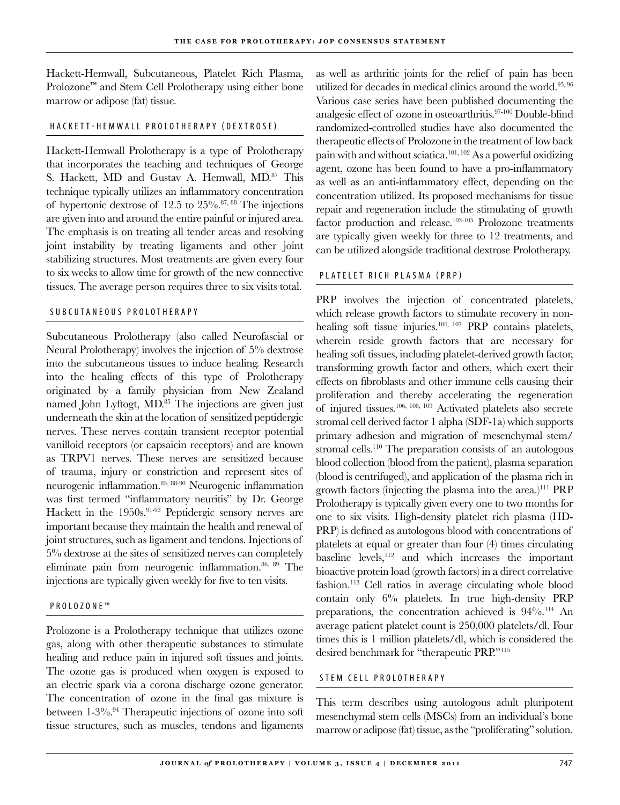Hackett-Hemwall, Subcutaneous, Platelet Rich Plasma, Prolozone™ and Stem Cell Prolotherapy using either bone marrow or adipose (fat) tissue.

#### HA C K E T T - H E M W A L L P R O L O T H E R A P Y ( D E X T R O S E )

Hackett-Hemwall Prolotherapy is a type of Prolotherapy that incorporates the teaching and techniques of George S. Hackett, MD and Gustav A. Hemwall, MD.<sup>87</sup> This technique typically utilizes an inflammatory concentration of hypertonic dextrose of 12.5 to  $25\%$ ,  $87,88$  The injections are given into and around the entire painful or injured area. The emphasis is on treating all tender areas and resolving joint instability by treating ligaments and other joint stabilizing structures. Most treatments are given every four to six weeks to allow time for growth of the new connective tissues. The average person requires three to six visits total.

#### S U B C U T A N E O U S P R O L O T H E R A P Y

Subcutaneous Prolotherapy (also called Neurofascial or Neural Prolotherapy) involves the injection of 5% dextrose into the subcutaneous tissues to induce healing. Research into the healing effects of this type of Prolotherapy originated by a family physician from New Zealand named John Lyftogt, MD.<sup>85</sup> The injections are given just underneath the skin at the location of sensitized peptidergic nerves. These nerves contain transient receptor potential vanilloid receptors (or capsaicin receptors) and are known as TRPV1 nerves. These nerves are sensitized because of trauma, injury or constriction and represent sites of neurogenic inflammation.85, 88-90 Neurogenic inflammation was first termed "inflammatory neuritis" by Dr. George Hackett in the 1950s.<sup>91-93</sup> Peptidergic sensory nerves are important because they maintain the health and renewal of joint structures, such as ligament and tendons. Injections of 5% dextrose at the sites of sensitized nerves can completely eliminate pain from neurogenic inflammation.<sup>86, 89</sup> The injections are typically given weekly for five to ten visits.

#### P R O L O Z O N E ™

Prolozone is a Prolotherapy technique that utilizes ozone gas, along with other therapeutic substances to stimulate healing and reduce pain in injured soft tissues and joints. The ozone gas is produced when oxygen is exposed to an electric spark via a corona discharge ozone generator. The concentration of ozone in the final gas mixture is between 1-3%.94 Therapeutic injections of ozone into soft tissue structures, such as muscles, tendons and ligaments as well as arthritic joints for the relief of pain has been utilized for decades in medical clinics around the world.<sup>95, 96</sup> Various case series have been published documenting the analgesic effect of ozone in osteoarthritis.97-100 Double-blind randomized-controlled studies have also documented the therapeutic effects of Prolozone in the treatment of low back pain with and without sciatica.101, 102 As a powerful oxidizing agent, ozone has been found to have a pro-inflammatory as well as an anti-inflammatory effect, depending on the concentration utilized. Its proposed mechanisms for tissue repair and regeneration include the stimulating of growth factor production and release.<sup>103-105</sup> Prolozone treatments are typically given weekly for three to 12 treatments, and can be utilized alongside traditional dextrose Prolotherapy.

#### PLATELET RICH PLASMA (PRP)

PRP involves the injection of concentrated platelets, which release growth factors to stimulate recovery in nonhealing soft tissue injuries.<sup>106, 107</sup> PRP contains platelets, wherein reside growth factors that are necessary for healing soft tissues, including platelet-derived growth factor, transforming growth factor and others, which exert their effects on fibroblasts and other immune cells causing their proliferation and thereby accelerating the regeneration of injured tissues.106, 108, 109 Activated platelets also secrete stromal cell derived factor 1 alpha (SDF-1a) which supports primary adhesion and migration of mesenchymal stem/ stromal cells.<sup>110</sup> The preparation consists of an autologous blood collection (blood from the patient), plasma separation (blood is centrifuged), and application of the plasma rich in growth factors (injecting the plasma into the area.)<sup>111</sup> PRP Prolotherapy is typically given every one to two months for one to six visits. High-density platelet rich plasma (HD-PRP) is defined as autologous blood with concentrations of platelets at equal or greater than four (4) times circulating baseline levels,<sup>112</sup> and which increases the important bioactive protein load (growth factors) in a direct correlative fashion.113 Cell ratios in average circulating whole blood contain only 6% platelets. In true high-density PRP preparations, the concentration achieved is 94%.<sup>114</sup> An average patient platelet count is 250,000 platelets/dl. Four times this is 1 million platelets/dl, which is considered the desired benchmark for "therapeutic PRP."<sup>115</sup>

#### STEM CELL PROLOTHERAPY

This term describes using autologous adult pluripotent mesenchymal stem cells (MSCs) from an individual's bone marrow or adipose (fat) tissue, as the "proliferating" solution.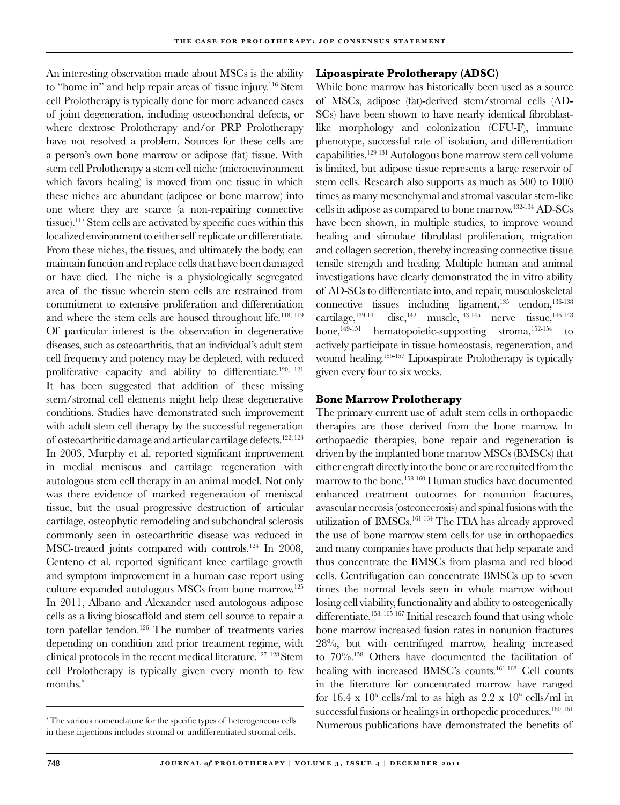An interesting observation made about MSCs is the ability to "home in" and help repair areas of tissue injury.116 Stem cell Prolotherapy is typically done for more advanced cases of joint degeneration, including osteochondral defects, or where dextrose Prolotherapy and/or PRP Prolotherapy have not resolved a problem. Sources for these cells are a person's own bone marrow or adipose (fat) tissue. With stem cell Prolotherapy a stem cell niche (microenvironment which favors healing) is moved from one tissue in which these niches are abundant (adipose or bone marrow) into one where they are scarce (a non-repairing connective tissue).<sup>117</sup> Stem cells are activated by specific cues within this localized environment to either self replicate or differentiate. From these niches, the tissues, and ultimately the body, can maintain function and replace cells that have been damaged or have died. The niche is a physiologically segregated area of the tissue wherein stem cells are restrained from commitment to extensive proliferation and differentiation and where the stem cells are housed throughout life.118, 119 Of particular interest is the observation in degenerative diseases, such as osteoarthritis, that an individual's adult stem cell frequency and potency may be depleted, with reduced proliferative capacity and ability to differentiate.<sup>120, 121</sup> It has been suggested that addition of these missing stem/stromal cell elements might help these degenerative conditions. Studies have demonstrated such improvement with adult stem cell therapy by the successful regeneration of osteoarthritic damage and articular cartilage defects.<sup>122, 123</sup> In 2003, Murphy et al. reported significant improvement in medial meniscus and cartilage regeneration with autologous stem cell therapy in an animal model. Not only was there evidence of marked regeneration of meniscal tissue, but the usual progressive destruction of articular cartilage, osteophytic remodeling and subchondral sclerosis commonly seen in osteoarthritic disease was reduced in MSC-treated joints compared with controls.<sup>124</sup> In 2008, Centeno et al. reported significant knee cartilage growth and symptom improvement in a human case report using culture expanded autologous MSCs from bone marrow.<sup>125</sup> In 2011, Albano and Alexander used autologous adipose cells as a living bioscaffold and stem cell source to repair a torn patellar tendon.<sup>126</sup> The number of treatments varies depending on condition and prior treatment regime, with clinical protocols in the recent medical literature.127, 128 Stem cell Prolotherapy is typically given every month to few months.\*

#### **Lipoaspirate Prolotherapy (ADSC)**

While bone marrow has historically been used as a source of MSCs, adipose (fat)-derived stem/stromal cells (AD-SCs) have been shown to have nearly identical fibroblastlike morphology and colonization (CFU-F), immune phenotype, successful rate of isolation, and differentiation capabilities.129-131 Autologous bone marrow stem cell volume is limited, but adipose tissue represents a large reservoir of stem cells. Research also supports as much as 500 to 1000 times as many mesenchymal and stromal vascular stem-like cells in adipose as compared to bone marrow.132-134 AD-SCs have been shown, in multiple studies, to improve wound healing and stimulate fibroblast proliferation, migration and collagen secretion, thereby increasing connective tissue tensile strength and healing. Multiple human and animal investigations have clearly demonstrated the in vitro ability of AD-SCs to differentiate into, and repair, musculoskeletal connective tissues including ligament, $135$  tendon, $136-138$ cartilage,<sup>139-141</sup> disc,<sup>142</sup> muscle,<sup>143-145</sup> nerve tissue,<sup>146-148</sup> bone, $149-151$  hematopoietic-supporting stroma, $152-154$  to actively participate in tissue homeostasis, regeneration, and wound healing.<sup>155-157</sup> Lipoaspirate Prolotherapy is typically given every four to six weeks.

#### **Bone Marrow Prolotherapy**

The primary current use of adult stem cells in orthopaedic therapies are those derived from the bone marrow. In orthopaedic therapies, bone repair and regeneration is driven by the implanted bone marrow MSCs (BMSCs) that either engraft directly into the bone or are recruited from the marrow to the bone.<sup>158-160</sup> Human studies have documented enhanced treatment outcomes for nonunion fractures, avascular necrosis (osteonecrosis) and spinal fusions with the utilization of BMSCs.161-164 The FDA has already approved the use of bone marrow stem cells for use in orthopaedics and many companies have products that help separate and thus concentrate the BMSCs from plasma and red blood cells. Centrifugation can concentrate BMSCs up to seven times the normal levels seen in whole marrow without losing cell viability, functionality and ability to osteogenically differentiate.<sup>158, 165-167</sup> Initial research found that using whole bone marrow increased fusion rates in nonunion fractures 28%, but with centrifuged marrow, healing increased to 70%.158 Others have documented the facilitation of healing with increased BMSC's counts.<sup>161-163</sup> Cell counts in the literature for concentrated marrow have ranged for 16.4 x  $10^6$  cells/ml to as high as 2.2 x  $10^9$  cells/ml in successful fusions or healings in orthopedic procedures.<sup>160, 161</sup> \*The various nomenclature for the specific types of heterogeneous cells Numerous publications have demonstrated the benefits of

in these injections includes stromal or undifferentiated stromal cells.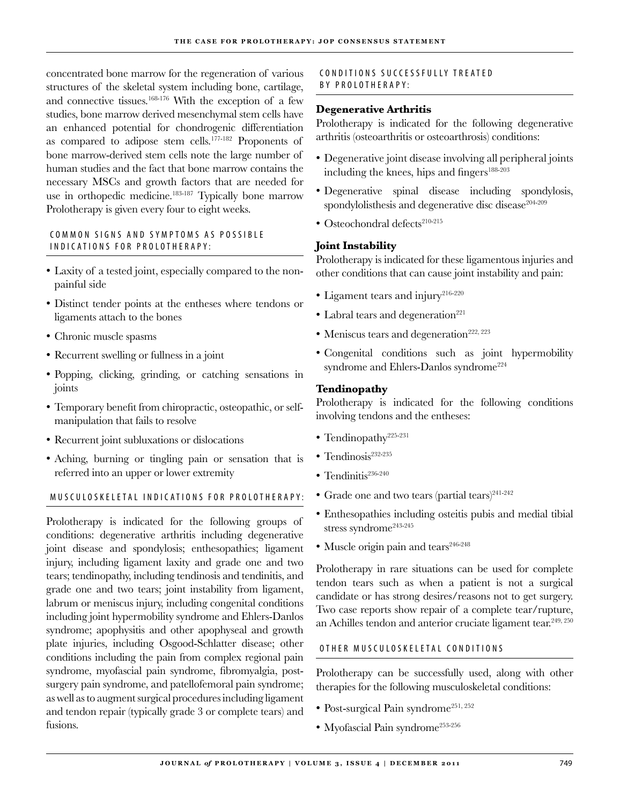concentrated bone marrow for the regeneration of various structures of the skeletal system including bone, cartilage, and connective tissues.168-176 With the exception of a few studies, bone marrow derived mesenchymal stem cells have an enhanced potential for chondrogenic differentiation as compared to adipose stem cells.177-182 Proponents of bone marrow-derived stem cells note the large number of human studies and the fact that bone marrow contains the necessary MSCs and growth factors that are needed for use in orthopedic medicine.<sup>183-187</sup> Typically bone marrow Prolotherapy is given every four to eight weeks.

#### COMMON SIGNS AND SYMPTOMS AS POSSIBLE INDICATIONS FOR PROLOTHERAPY:

- Laxity of a tested joint, especially compared to the non-• painful side
- Distinct tender points at the entheses where tendons or ligaments attach to the bones
- Chronic muscle spasms •
- Recurrent swelling or fullness in a joint •
- Popping, clicking, grinding, or catching sensations in joints
- Temporary benefit from chiropractic, osteopathic, or self-• manipulation that fails to resolve
- Recurrent joint subluxations or dislocations •
- Aching, burning or tingling pain or sensation that is referred into an upper or lower extremity

#### M U S C U L O S K E L E T A L IN D I C A T I O N S F O R P R O L O T H E R A P Y :

Prolotherapy is indicated for the following groups of conditions: degenerative arthritis including degenerative joint disease and spondylosis; enthesopathies; ligament injury, including ligament laxity and grade one and two tears; tendinopathy, including tendinosis and tendinitis, and grade one and two tears; joint instability from ligament, labrum or meniscus injury, including congenital conditions including joint hypermobility syndrome and Ehlers-Danlos syndrome; apophysitis and other apophyseal and growth plate injuries, including Osgood-Schlatter disease; other conditions including the pain from complex regional pain syndrome, myofascial pain syndrome, fibromyalgia, postsurgery pain syndrome, and patellofemoral pain syndrome; as well as to augment surgical procedures including ligament and tendon repair (typically grade 3 or complete tears) and fusions.

#### CONDITIONS SUCCESSFULLY TREATED BY PROLOTHERAPY:

#### **Degenerative Arthritis**

Prolotherapy is indicated for the following degenerative arthritis (osteoarthritis or osteoarthrosis) conditions:

- Degenerative joint disease involving all peripheral joints including the knees, hips and fingers<sup>188-203</sup>
- Degenerative spinal disease including spondylosis, spondylolisthesis and degenerative disc disease<sup>204-209</sup>
- Osteochondral defects<sup>210-215</sup>

#### **Joint Instability**

Prolotherapy is indicated for these ligamentous injuries and other conditions that can cause joint instability and pain:

- Ligament tears and injury<sup>216-220</sup>
- Labral tears and degeneration<sup>221</sup>
- Meniscus tears and degeneration<sup>222, 223</sup>
- Congenital conditions such as joint hypermobility syndrome and Ehlers-Danlos syndrome<sup>224</sup>

#### **Tendinopathy**

Prolotherapy is indicated for the following conditions involving tendons and the entheses:

- Tendinopathy<sup>225-231</sup>
- Tendinosis<sup>232-235</sup>
- Tendinitis<sup>236-240</sup>
- Grade one and two tears (partial tears)<sup>241-242</sup>
- Enthesopathies including osteitis pubis and medial tibial stress syndrome<sup>243-245</sup>
- Muscle origin pain and tears<sup>246-248</sup>

Prolotherapy in rare situations can be used for complete tendon tears such as when a patient is not a surgical candidate or has strong desires/reasons not to get surgery. Two case reports show repair of a complete tear/rupture, an Achilles tendon and anterior cruciate ligament tear.<sup>249, 250</sup>

#### OTHER MUSCULOSKELETAL CONDITIONS

Prolotherapy can be successfully used, along with other therapies for the following musculoskeletal conditions:

- Post-surgical Pain syndrome<sup>251, 252</sup>
- Myofascial Pain syndrome<sup>253-256</sup>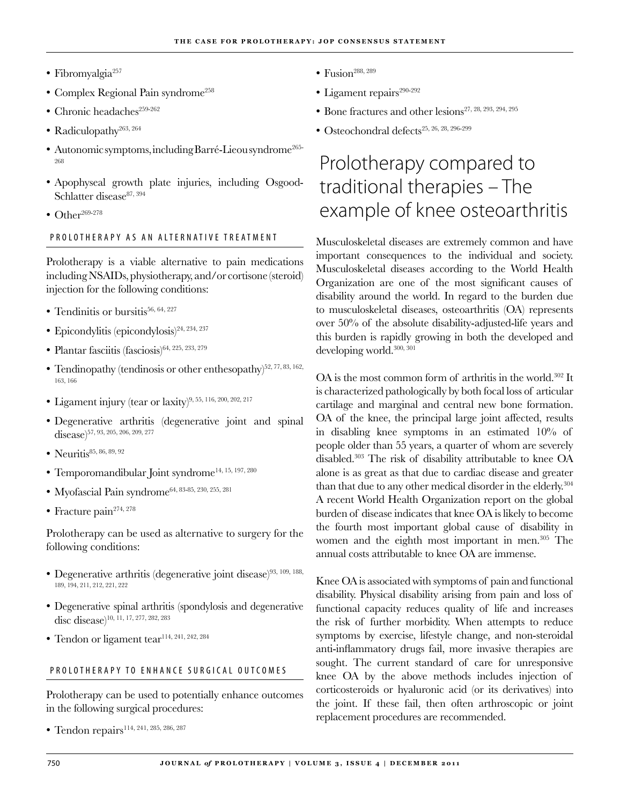- Fibromyalgia<sup>257</sup>
- Complex Regional Pain syndrome<sup>258</sup>
- Chronic headaches<sup>259-262</sup>
- Radiculopathy<sup>263, 264</sup>
- Autonomic symptoms, including Barré-Lieou syndrome<sup>265-</sup> 268
- Apophyseal growth plate injuries, including Osgood-• Schlatter disease<sup>87, 394</sup>
- $\bullet$  Other<sup>269-278</sup>

#### P R O L O T H E R A P Y A S A N A L T E R N A T I V E T R E A T M E N T

Prolotherapy is a viable alternative to pain medications including NSAIDs, physiotherapy, and/or cortisone (steroid) injection for the following conditions:

- Tendinitis or bursitis<sup>56, 64, 227</sup>
- Epicondylitis (epicondylosis)<sup>24, 234, 237</sup>
- Plantar fasciitis (fasciosis)<sup>64, 225, 233, 279</sup>
- Tendinopathy (tendinosis or other enthesopathy)<sup>52, 77, 83, 162,</sup> 163, 166
- Ligament injury (tear or laxity)<sup>9, 55, 116, 200, 202, 217</sup>
- Degenerative arthritis (degenerative joint and spinal disease)57, 93, 205, 206, 209, 277
- Neuritis $85, 86, 89, 92$
- Temporomandibular Joint syndrome<sup>14, 15, 197, 280</sup>
- Myofascial Pain syndrome<sup>64, 83-85, 230, 255, 281</sup>
- Fracture pain<sup>274, 278</sup>

Prolotherapy can be used as alternative to surgery for the following conditions:

- Degenerative arthritis (degenerative joint disease)<sup>93, 109, 188,</sup> 189, 194, 211, 212, 221, 222
- Degenerative spinal arthritis (spondylosis and degenerative disc disease)<sup>10, 11, 17, 277, 282, 283</sup>
- Tendon or ligament tear<sup>114, 241, 242, 284</sup>

#### PROLOTHERAPY TO ENHANCE SURGICAL OUTCOMES

Prolotherapy can be used to potentially enhance outcomes in the following surgical procedures:

• Tendon repairs<sup>114, 241, 285, 286, 287</sup>

- $\bullet$  Fusion<sup>288, 289</sup>
- Ligament repairs<sup>290-292</sup>
- Bone fractures and other lesions<sup>27, 28, 293, 294, 295</sup>
- Osteochondral defects<sup>25, 26, 28, 296-299</sup>

### Prolotherapy compared to traditional therapies – The example of knee osteoarthritis

Musculoskeletal diseases are extremely common and have important consequences to the individual and society. Musculoskeletal diseases according to the World Health Organization are one of the most significant causes of disability around the world. In regard to the burden due to musculoskeletal diseases, osteoarthritis (OA) represents over 50% of the absolute disability-adjusted-life years and this burden is rapidly growing in both the developed and developing world.300, 301

OA is the most common form of arthritis in the world.302 It is characterized pathologically by both focal loss of articular cartilage and marginal and central new bone formation. OA of the knee, the principal large joint affected, results in disabling knee symptoms in an estimated 10% of people older than 55 years, a quarter of whom are severely disabled.303 The risk of disability attributable to knee OA alone is as great as that due to cardiac disease and greater than that due to any other medical disorder in the elderly.<sup>304</sup> A recent World Health Organization report on the global burden of disease indicates that knee OA is likely to become the fourth most important global cause of disability in women and the eighth most important in men.305 The annual costs attributable to knee OA are immense.

Knee OA is associated with symptoms of pain and functional disability. Physical disability arising from pain and loss of functional capacity reduces quality of life and increases the risk of further morbidity. When attempts to reduce symptoms by exercise, lifestyle change, and non-steroidal anti-inflammatory drugs fail, more invasive therapies are sought. The current standard of care for unresponsive knee OA by the above methods includes injection of corticosteroids or hyaluronic acid (or its derivatives) into the joint. If these fail, then often arthroscopic or joint replacement procedures are recommended.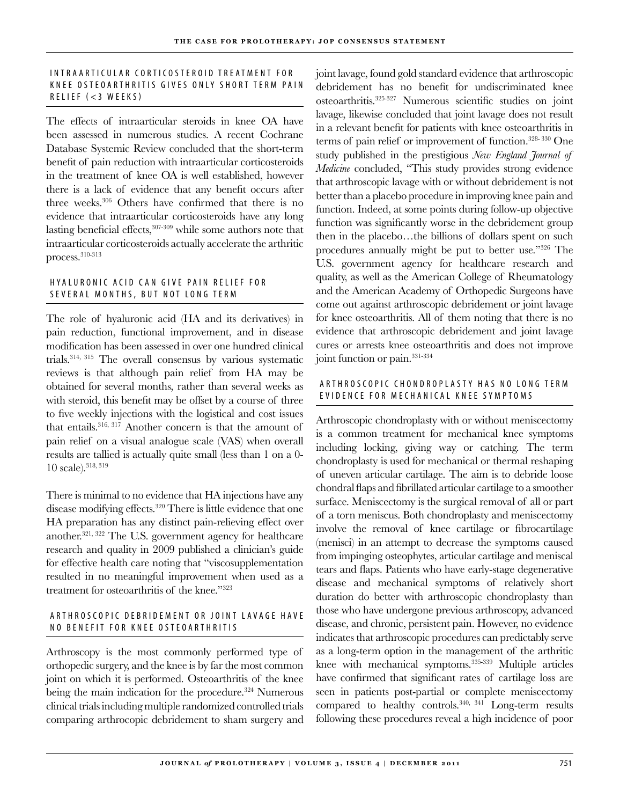#### INTRAARTICULAR CORTICOSTEROID TREATMENT FOR KNEE OSTEOARTHRITIS GIVES ONLY SHORT TERM PAIN RELIEF  $( $3$  WEEKS)$

The effects of intraarticular steroids in knee OA have been assessed in numerous studies. A recent Cochrane Database Systemic Review concluded that the short-term benefit of pain reduction with intraarticular corticosteroids in the treatment of knee OA is well established, however there is a lack of evidence that any benefit occurs after three weeks.<sup>306</sup> Others have confirmed that there is no evidence that intraarticular corticosteroids have any long lasting beneficial effects,307-309 while some authors note that intraarticular corticosteroids actually accelerate the arthritic process.310-313

#### HYALURONIC ACID CAN GIVE PAIN RELIEF FOR SEVERAL MONTHS, BUT NOT LONG TERM

The role of hyaluronic acid (HA and its derivatives) in pain reduction, functional improvement, and in disease modification has been assessed in over one hundred clinical trials.314, 315 The overall consensus by various systematic reviews is that although pain relief from HA may be obtained for several months, rather than several weeks as with steroid, this benefit may be offset by a course of three to five weekly injections with the logistical and cost issues that entails.316, 317 Another concern is that the amount of pain relief on a visual analogue scale (VAS) when overall results are tallied is actually quite small (less than 1 on a 0- 10 scale).<sup>318, 319</sup>

There is minimal to no evidence that HA injections have any disease modifying effects.<sup>320</sup> There is little evidence that one HA preparation has any distinct pain-relieving effect over another.321, 322 The U.S. government agency for healthcare research and quality in 2009 published a clinician's guide for effective health care noting that "viscosupplementation resulted in no meaningful improvement when used as a treatment for osteoarthritis of the knee."<sup>323</sup>

#### A R T H R O S C O P I C D E B R I D E M E N T O R J O I N T L A V A G E H A V E NO BENEFIT FOR KNEE OSTEOARTHRITIS

Arthroscopy is the most commonly performed type of orthopedic surgery, and the knee is by far the most common joint on which it is performed. Osteoarthritis of the knee being the main indication for the procedure.<sup>324</sup> Numerous</sup> clinical trials including multiple randomized controlled trials comparing arthrocopic debridement to sham surgery and joint lavage, found gold standard evidence that arthroscopic debridement has no benefit for undiscriminated knee osteoarthritis.325-327 Numerous scientific studies on joint lavage, likewise concluded that joint lavage does not result in a relevant benefit for patients with knee osteoarthritis in terms of pain relief or improvement of function.<sup>328-330</sup> One study published in the prestigious *New England Journal of Medicine* concluded, "This study provides strong evidence that arthroscopic lavage with or without debridement is not better than a placebo procedure in improving knee pain and function. Indeed, at some points during follow-up objective function was significantly worse in the debridement group then in the placebo…the billions of dollars spent on such procedures annually might be put to better use."326 The U.S. government agency for healthcare research and quality, as well as the American College of Rheumatology and the American Academy of Orthopedic Surgeons have come out against arthroscopic debridement or joint lavage for knee osteoarthritis. All of them noting that there is no evidence that arthroscopic debridement and joint lavage cures or arrests knee osteoarthritis and does not improve joint function or pain.331-334

#### A R T H R O S C O P I C C H O N D R O P L A S T Y H A S N O L O N G T E R M EVIDENCE FOR MECHANICAL KNEE SYMPTOMS

Arthroscopic chondroplasty with or without meniscectomy is a common treatment for mechanical knee symptoms including locking, giving way or catching. The term chondroplasty is used for mechanical or thermal reshaping of uneven articular cartilage. The aim is to debride loose chondral flaps and fibrillated articular cartilage to a smoother surface. Meniscectomy is the surgical removal of all or part of a torn meniscus. Both chondroplasty and meniscectomy involve the removal of knee cartilage or fibrocartilage (menisci) in an attempt to decrease the symptoms caused from impinging osteophytes, articular cartilage and meniscal tears and flaps. Patients who have early-stage degenerative disease and mechanical symptoms of relatively short duration do better with arthroscopic chondroplasty than those who have undergone previous arthroscopy, advanced disease, and chronic, persistent pain. However, no evidence indicates that arthroscopic procedures can predictably serve as a long-term option in the management of the arthritic knee with mechanical symptoms.<sup>335-339</sup> Multiple articles have confirmed that significant rates of cartilage loss are seen in patients post-partial or complete meniscectomy compared to healthy controls.<sup>340, 341</sup> Long-term results following these procedures reveal a high incidence of poor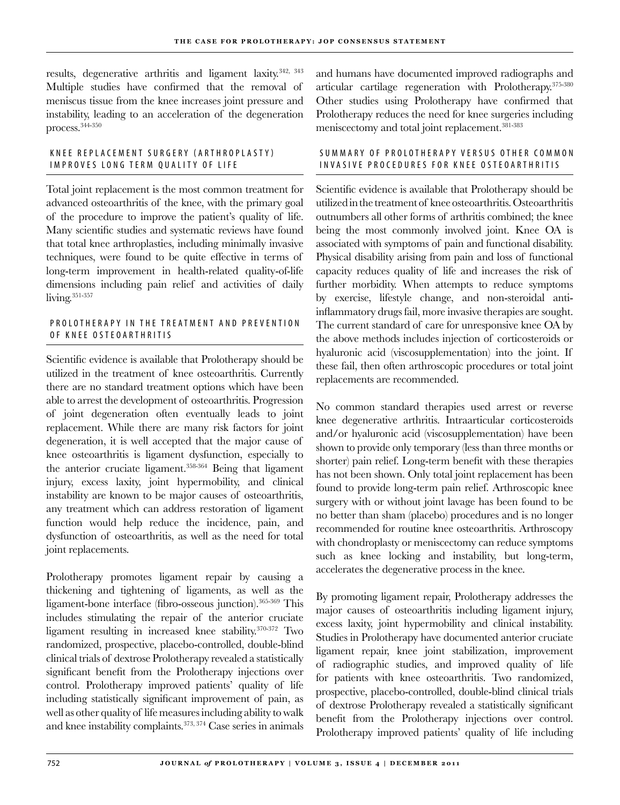results, degenerative arthritis and ligament laxity.342, 343 Multiple studies have confirmed that the removal of meniscus tissue from the knee increases joint pressure and instability, leading to an acceleration of the degeneration process.344-350

#### KNEE REPLACEMENT SURGERY (ARTHROPLASTY) IMPROVES LONG TERM OUALITY OF LIFE

Total joint replacement is the most common treatment for advanced osteoarthritis of the knee, with the primary goal of the procedure to improve the patient's quality of life. Many scientific studies and systematic reviews have found that total knee arthroplasties, including minimally invasive techniques, were found to be quite effective in terms of long-term improvement in health-related quality-of-life dimensions including pain relief and activities of daily living.351-357

#### P ROLOTHERAPY IN THE TREATMENT AND PREVENTION OF KNEE OSTEOARTHRITIS

Scientific evidence is available that Prolotherapy should be utilized in the treatment of knee osteoarthritis. Currently there are no standard treatment options which have been able to arrest the development of osteoarthritis. Progression of joint degeneration often eventually leads to joint replacement. While there are many risk factors for joint degeneration, it is well accepted that the major cause of knee osteoarthritis is ligament dysfunction, especially to the anterior cruciate ligament.<sup>358-364</sup> Being that ligament injury, excess laxity, joint hypermobility, and clinical instability are known to be major causes of osteoarthritis, any treatment which can address restoration of ligament function would help reduce the incidence, pain, and dysfunction of osteoarthritis, as well as the need for total joint replacements.

Prolotherapy promotes ligament repair by causing a thickening and tightening of ligaments, as well as the ligament-bone interface (fibro-osseous junction).365-369 This includes stimulating the repair of the anterior cruciate ligament resulting in increased knee stability.370-372 Two randomized, prospective, placebo-controlled, double-blind clinical trials of dextrose Prolotherapy revealed a statistically significant benefit from the Prolotherapy injections over control. Prolotherapy improved patients' quality of life including statistically significant improvement of pain, as well as other quality of life measures including ability to walk and knee instability complaints.373, 374 Case series in animals and humans have documented improved radiographs and articular cartilage regeneration with Prolotherapy.375-380 Other studies using Prolotherapy have confirmed that Prolotherapy reduces the need for knee surgeries including meniscectomy and total joint replacement.<sup>381-383</sup>

#### SUMMARY OF PROLOTHERAPY VERSUS OTHER COMMON INVASIVE PROCEDURES FOR KNEE OSTEOARTHRITIS

Scientific evidence is available that Prolotherapy should be utilized in the treatment of knee osteoarthritis. Osteoarthritis outnumbers all other forms of arthritis combined; the knee being the most commonly involved joint. Knee OA is associated with symptoms of pain and functional disability. Physical disability arising from pain and loss of functional capacity reduces quality of life and increases the risk of further morbidity. When attempts to reduce symptoms by exercise, lifestyle change, and non-steroidal antiinflammatory drugs fail, more invasive therapies are sought. The current standard of care for unresponsive knee OA by the above methods includes injection of corticosteroids or hyaluronic acid (viscosupplementation) into the joint. If these fail, then often arthroscopic procedures or total joint replacements are recommended.

No common standard therapies used arrest or reverse knee degenerative arthritis. Intraarticular corticosteroids and/or hyaluronic acid (viscosupplementation) have been shown to provide only temporary (less than three months or shorter) pain relief. Long-term benefit with these therapies has not been shown. Only total joint replacement has been found to provide long-term pain relief. Arthroscopic knee surgery with or without joint lavage has been found to be no better than sham (placebo) procedures and is no longer recommended for routine knee osteoarthritis. Arthroscopy with chondroplasty or meniscectomy can reduce symptoms such as knee locking and instability, but long-term, accelerates the degenerative process in the knee.

By promoting ligament repair, Prolotherapy addresses the major causes of osteoarthritis including ligament injury, excess laxity, joint hypermobility and clinical instability. Studies in Prolotherapy have documented anterior cruciate ligament repair, knee joint stabilization, improvement of radiographic studies, and improved quality of life for patients with knee osteoarthritis. Two randomized, prospective, placebo-controlled, double-blind clinical trials of dextrose Prolotherapy revealed a statistically significant benefit from the Prolotherapy injections over control. Prolotherapy improved patients' quality of life including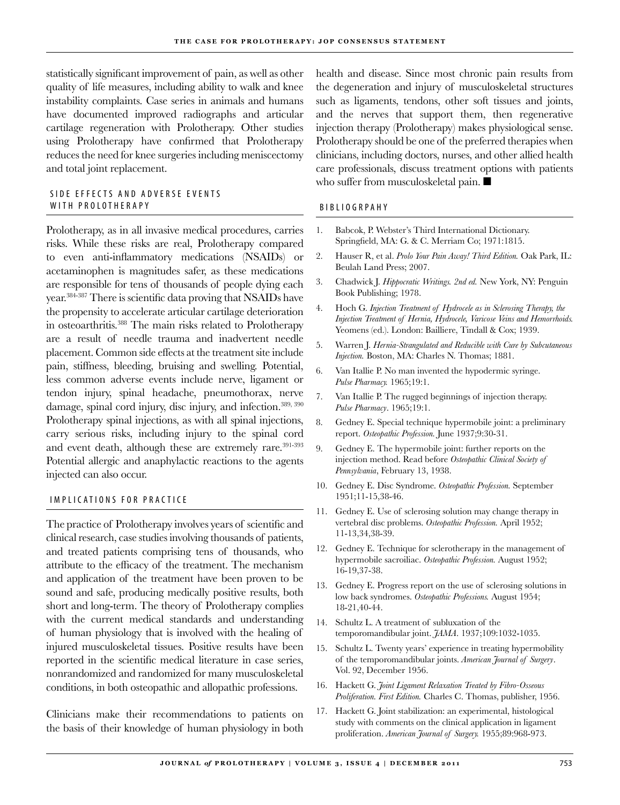statistically significant improvement of pain, as well as other quality of life measures, including ability to walk and knee instability complaints. Case series in animals and humans have documented improved radiographs and articular cartilage regeneration with Prolotherapy. Other studies using Prolotherapy have confirmed that Prolotherapy reduces the need for knee surgeries including meniscectomy and total joint replacement.

#### SIDE EFFECTS AND ADVERSE EVENTS WITH PROLOTHERAPY

Prolotherapy, as in all invasive medical procedures, carries risks. While these risks are real, Prolotherapy compared to even anti-inflammatory medications (NSAIDs) or acetaminophen is magnitudes safer, as these medications are responsible for tens of thousands of people dying each year.384-387 There is scientific data proving that NSAIDs have the propensity to accelerate articular cartilage deterioration in osteoarthritis.388 The main risks related to Prolotherapy are a result of needle trauma and inadvertent needle placement. Common side effects at the treatment site include pain, stiffness, bleeding, bruising and swelling. Potential, less common adverse events include nerve, ligament or tendon injury, spinal headache, pneumothorax, nerve damage, spinal cord injury, disc injury, and infection.389, 390 Prolotherapy spinal injections, as with all spinal injections, carry serious risks, including injury to the spinal cord and event death, although these are extremely rare.391-393 Potential allergic and anaphylactic reactions to the agents injected can also occur.

#### IMPLICATIONS FOR PRACTICE

The practice of Prolotherapy involves years of scientific and clinical research, case studies involving thousands of patients, and treated patients comprising tens of thousands, who attribute to the efficacy of the treatment. The mechanism and application of the treatment have been proven to be sound and safe, producing medically positive results, both short and long-term. The theory of Prolotherapy complies with the current medical standards and understanding of human physiology that is involved with the healing of injured musculoskeletal tissues. Positive results have been reported in the scientific medical literature in case series, nonrandomized and randomized for many musculoskeletal conditions, in both osteopathic and allopathic professions.

Clinicians make their recommendations to patients on the basis of their knowledge of human physiology in both health and disease. Since most chronic pain results from the degeneration and injury of musculoskeletal structures such as ligaments, tendons, other soft tissues and joints, and the nerves that support them, then regenerative injection therapy (Prolotherapy) makes physiological sense. Prolotherapy should be one of the preferred therapies when clinicians, including doctors, nurses, and other allied health care professionals, discuss treatment options with patients who suffer from musculoskeletal pain.  $\blacksquare$ 

#### BIBLIO GRPAHY

- Babcok, P. Webster's Third International Dictionary. Springfield, MA: G. & C. Merriam Co; 1971:1815. 1.
- Hauser R, et al. *Prolo Your Pain Away! Third Edition.* Oak Park, IL: Beulah Land Press; 2007. 2.
- Chadwick J. *Hippocratic Writings. 2nd ed.* New York, NY: Penguin Book Publishing; 1978. 3.
- Hoch G. *Injection Treatment of Hydrocele as in Sclerosing Therapy, the Injection Treatment of Hernia, Hydrocele, Varicose Veins and Hemorrhoids.* Yeomens (ed.). London: Bailliere, Tindall & Cox; 1939. 4.
- Warren J. *Hernia-Strangulated and Reducible with Cure by Subcutaneous Injection.* Boston, MA: Charles N. Thomas; 1881. 5.
- Van Itallie P. No man invented the hypodermic syringe. *Pulse Pharmacy.* 1965;19:1. 6.
- Van Itallie P. The rugged beginnings of injection therapy. *Pulse Pharmacy*. 1965;19:1. 7.
- Gedney E. Special technique hypermobile joint: a preliminary report. *Osteopathic Profession.* June 1937;9:30-31. 8.
- Gedney E. The hypermobile joint: further reports on the injection method. Read before *Osteopathic Clinical Society of Pennsylvania*, February 13, 1938. 9.
- 10. Gedney E. Disc Syndrome. Osteopathic Profession. September 1951;11-15,38-46.
- 11. Gedney E. Use of sclerosing solution may change therapy in vertebral disc problems. *Osteopathic Profession.* April 1952; 11-13,34,38-39.
- 12. Gedney E. Technique for sclerotherapy in the management of hypermobile sacroiliac. *Osteopathic Profession.* August 1952; 16-19,37-38.
- 13. Gedney E. Progress report on the use of sclerosing solutions in low back syndromes. *Osteopathic Professions.* August 1954; 18-21,40-44.
- 14. Schultz L. A treatment of subluxation of the temporomandibular joint. *JAMA*. 1937;109:1032-1035.
- 15. Schultz L. Twenty years' experience in treating hypermobility of the temporomandibular joints. *American Journal of Surgery*. Vol. 92, December 1956.
- 16. Hackett G. *Joint Ligament Relaxation Treated by Fibro-Osseous Proliferation. First Edition.* Charles C. Thomas, publisher, 1956.
- Hackett G. Joint stabilization: an experimental, histological study with comments on the clinical application in ligament proliferation. *American Journal of Surgery.* 1955;89:968-973. 17.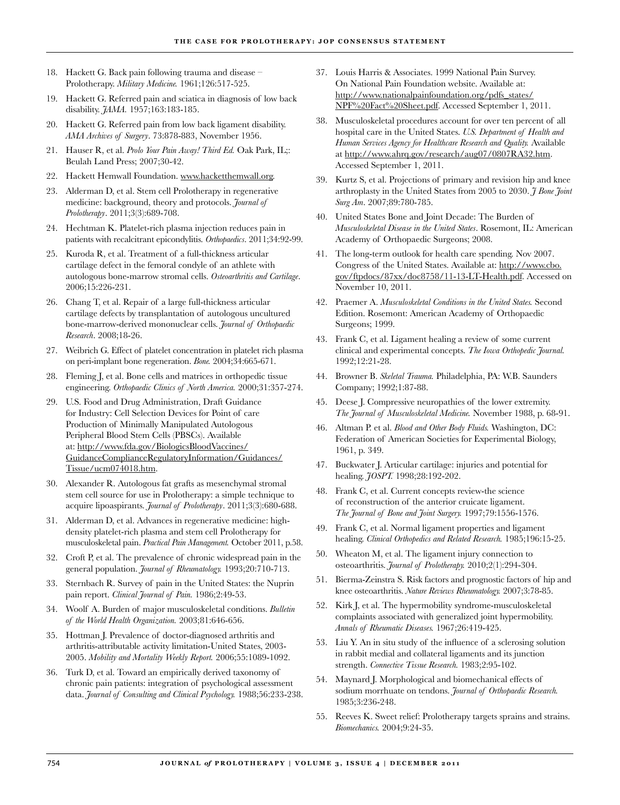- 18. Hackett G. Back pain following trauma and disease -Prolotherapy. *Military Medicine.* 1961;126:517-525.
- 19. Hackett G. Referred pain and sciatica in diagnosis of low back disability. *JAMA.* 1957;163:183-185.
- 20. Hackett G. Referred pain from low back ligament disability. *AMA Archives of Surgery*. 73:878-883, November 1956.
- 21. Hauser R, et al. *Prolo Your Pain Away! Third Ed*. Oak Park, IL;: Beulah Land Press; 2007;30-42.
- 22. Hackett Hemwall Foundation. www.hacketthemwall.org.
- Alderman D, et al. Stem cell Prolotherapy in regenerative 23. medicine: background, theory and protocols. *Journal of Prolotherapy*. 2011;3(3):689-708.
- 24. Hechtman K. Platelet-rich plasma injection reduces pain in patients with recalcitrant epicondylitis. *Orthopaedics*. 2011;34:92-99.
- 25. Kuroda R, et al. Treatment of a full-thickness articular cartilage defect in the femoral condyle of an athlete with autologous bone-marrow stromal cells. *Osteoarthritis and Cartilage*. 2006;15:226-231.
- 26. Chang T, et al. Repair of a large full-thickness articular cartilage defects by transplantation of autologous uncultured bone-marrow-derived mononuclear cells. *Journal of Orthopaedic Research*. 2008;18-26.
- Weibrich G. Effect of platelet concentration in platelet rich plasma 27. on peri-implant bone regeneration. *Bone.* 2004;34:665-671.
- Fleming J, et al. Bone cells and matrices in orthopedic tissue 28. engineering. *Orthopaedic Clinics of North America.* 2000;31:357-274.
- U.S. Food and Drug Administration, Draft Guidance 29. for Industry: Cell Selection Devices for Point of care Production of Minimally Manipulated Autologous Peripheral Blood Stem Cells (PBSCs). Available at: http://www.fda.gov/BiologicsBloodVaccines/ GuidanceComplianceRegulatoryInformation/Guidances/ Tissue/ucm074018.htm.
- Alexander R. Autologous fat grafts as mesenchymal stromal 30. stem cell source for use in Prolotherapy: a simple technique to acquire lipoaspirants. *Journal of Prolotherapy*. 2011;3(3):680-688.
- Alderman D, et al. Advances in regenerative medicine: high-31. density platelet-rich plasma and stem cell Prolotherapy for musculoskeletal pain. *Practical Pain Management.* October 2011, p.58.
- 32. Croft P, et al. The prevalence of chronic widespread pain in the general population. *Journal of Rheumatology.* 1993;20:710-713.
- Sternbach R. Survey of pain in the United States: the Nuprin 33. pain report. *Clinical Journal of Pain.* 1986;2:49-53.
- Woolf A. Burden of major musculoskeletal conditions. *Bulletin*  34. *of the World Health Organization.* 2003;81:646-656.
- 35. Hottman J. Prevalence of doctor-diagnosed arthritis and arthritis-attributable activity limitation-United States, 2003- 2005. *Mobility and Mortality Weekly Report.* 2006;55:1089-1092.
- 36. Turk D, et al. Toward an empirically derived taxonomy of chronic pain patients: integration of psychological assessment data. *Journal of Consulting and Clinical Psychology.* 1988;56:233-238.
- 37. Louis Harris & Associates. 1999 National Pain Survey. On National Pain Foundation website. Available at: http://www.nationalpainfoundation.org/pdfs\_states/ NPF%20Fact%20Sheet.pdf. Accessed September 1, 2011.
- Musculoskeletal procedures account for over ten percent of all hospital care in the United States. *U.S. Department of Health and Human Services Agency for Healthcare Research and Quality.* Available at http://www.ahrq.gov/research/aug07/0807RA32.htm. Accessed September 1, 2011. 38.
- 39. Kurtz S, et al. Projections of primary and revision hip and knee arthroplasty in the United States from 2005 to 2030. *J Bone Joint Surg Am*. 2007;89:780-785.
- 40. United States Bone and Joint Decade: The Burden of *Musculoskeletal Disease in the United States*. Rosemont, IL: American Academy of Orthopaedic Surgeons; 2008.
- The long-term outlook for health care spending. Nov 2007. 41. Congress of the United States. Available at: http://www.cbo. gov/ftpdocs/87xx/doc8758/11-13-LT-Health.pdf. Accessed on November 10, 2011.
- Praemer A. *Musculoskeletal Conditions in the United States.* Second 42. Edition. Rosemont: American Academy of Orthopaedic Surgeons; 1999.
- Frank C, et al. Ligament healing a review of some current 43. clinical and experimental concepts. *The Iowa Orthopedic Journal.* 1992;12:21-28.
- 44. Browner B. Skeletal Trauma. Philadelphia, PA: W.B. Saunders Company; 1992;1:87-88.
- Deese J. Compressive neuropathies of the lower extremity. 45. *The Journal of Musculoskeletal Medicine.* November 1988, p. 68-91.
- Altman P. et al. *Blood and Other Body Fluids.* Washington, DC: 46. Federation of American Societies for Experimental Biology, 1961, p. 349.
- 47. Buckwater J. Articular cartilage: injuries and potential for healing. *JOSPT.* 1998;28:192-202.
- Frank C, et al. Current concepts review-the science 48. of reconstruction of the anterior cruicate ligament. *The Journal of Bone and Joint Surgery.* 1997;79:1556-1576.
- Frank C, et al. Normal ligament properties and ligament 49. healing. *Clinical Orthopedics and Related Research.* 1985;196:15-25.
- 50. Wheaton M, et al. The ligament injury connection to osteoarthritis. *Journal of Prolotherapy.* 2010;2(1):294-304.
- Bierma-Zeinstra S. Risk factors and prognostic factors of hip and knee osteoarthritis. *Nature Reviews Rheumatology.* 2007;3:78-85. 51.
- Kirk J, et al. The hypermobility syndrome-musculoskeletal complaints associated with generalized joint hypermobility. *Annals of Rheumatic Diseases.* 1967;26:419-425. 52.
- 53. Liu Y. An in situ study of the influence of a sclerosing solution in rabbit medial and collateral ligaments and its junction strength. *Connective Tissue Research.* 1983;2:95-102.
- 54. Maynard J. Morphological and biomechanical effects of sodium morrhuate on tendons. *Journal of Orthopaedic Research.* 1985;3:236-248.
- 55. Reeves K. Sweet relief: Prolotherapy targets sprains and strains. *Biomechanics.* 2004;9:24-35.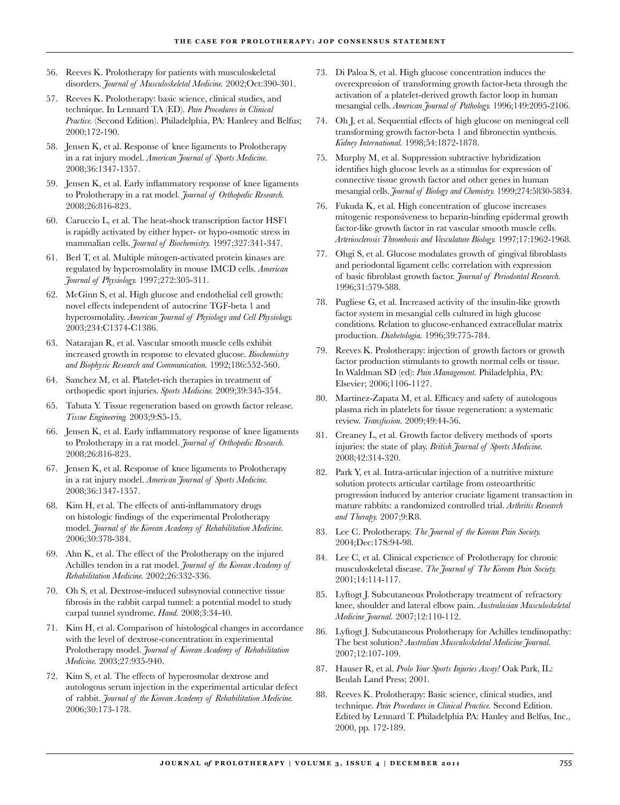- 56. Reeves K. Prolotherapy for patients with musculoskeletal disorders. *Journal of Musculoskeletal Medicine.* 2002;Oct:390-301.
- 57. Reeves K. Prolotherapy: basic science, clinical studies, and technique. In Lennard TA (ED). *Pain Procedures in Clinical Practice.* (Second Edition). Philadelphia, PA: Hanleey and Belfus; 2000;172-190.
- 58. Jensen K, et al. Response of knee ligaments to Prolotherapy in a rat injury model. *American Journal of Sports Medicine.* 2008;36:1347-1357.
- 59. Jensen K, et al. Early inflammatory response of knee ligaments to Prolotherapy in a rat model. *Journal of Orthopedic Research.* 2008;26:816-823.
- 60. Caruccio L, et al. The heat-shock transcription factor HSF1 is rapidly activated by either hyper- or hypo-osmotic stress in mammalian cells. *Journal of Biochemistry.* 1997;327:341-347.
- 61. Berl T, et al. Multiple mitogen-activated protein kinases are regulated by hyperosmolality in mouse IMCD cells. *American Journal of Physiology.* 1997;272:305-311.
- McGinn S, et al. High glucose and endothelial cell growth: 62. novel effects independent of autocrine TGF-beta 1 and hyperosmolality. *American Journal of Phyiology and Cell Physiology.* 2003;234:C1374-C1386.
- 63. Natarajan R, et al. Vascular smooth muscle cells exhibit increased growth in response to elevated glucose. *Biochemistry and Biophysic Research and Communication.* 1992;186:552-560.
- 64. Sanchez M, et al. Platelet-rich therapies in treatment of orthopedic sport injuries. *Sports Medicine.* 2009;39:345-354.
- 65. Tabata Y. Tissue regeneration based on growth factor release. *Tissue Engineering.* 2003;9:S5-15.
- Jensen K, et al. Early inflammatory response of knee ligaments 66. to Prolotherapy in a rat model. *Journal of Orthopedic Research.* 2008;26:816-823.
- 67. Jensen K, et al. Response of knee ligaments to Prolotherapy in a rat injury model. *American Journal of Sports Medicine.* 2008;36:1347-1357.
- 68. Kim H, et al. The effects of anti-inflammatory drugs on histologic findings of the experimental Prolotherapy model. *Journal of the Korean Academy of Rehabilitation Medicine.* 2006;30:378-384.
- Ahn K, et al. The effect of the Prolotherapy on the injured 69. Achilles tendon in a rat model. *Journal of the Korean Academy of Rehabilitation Medicine.* 2002;26:332-336.
- Oh S, et al. Dextrose-induced subsynovial connective tissue 70. fibrosis in the rabbit carpal tunnel: a potential model to study carpal tunnel syndrome. *Hand.* 2008;3:34-40.
- 71. Kim H, et al. Comparison of histological changes in accordance with the level of dextrose-concentration in experimental Prolotherapy model. *Journal of Korean Academy of Rehabilitation Medicine.* 2003;27:935-940.
- 72. Kim S, et al. The effects of hyperosmolar dextrose and autologous serum injection in the experimental articular defect of rabbit. *Journal of the Korean Academy of Rehabilitation Medicine.* 2006;30:173-178.
- Di Paloa S, et al. High glucose concentration induces the 73. overexpression of transforming growth factor-beta through the activation of a platelet-derived growth factor loop in human mesangial cells. *American Journal of Pathology.* 1996;149:2095-2106.
- Oh J, et al. Sequential effects of high glucose on meningeal cell 74. transforming growth factor-beta 1 and fibronectin synthesis. *Kidney International.* 1998;54:1872-1878.
- 75. Murphy M, et al. Suppression subtractive hybridization identifies high glucose levels as a stimulus for expression of connective tissue growth factor and other genes in human mesangial cells. *Journal of Biology and Chemistry.* 1999;274:5830-5834.
- Fukuda K, et al. High concentration of glucose increases 76. mitogenic responsiveness to heparin-binding epidermal growth factor-like growth factor in rat vascular smooth muscle cells. *Arteriosclerosis Thrombosis and Vasculature Biology.* 1997;17:1962-1968.
- Ohgi S, et al. Glucose modulates growth of gingival fibroblasts 77. and periodontal ligament cells: correlation with expression of basic fibroblast growth factor. *Journal of Periodontal Research.* 1996;31:579-588.
- 78. Pugliese G, et al. Increased activity of the insulin-like growth factor system in mesangial cells cultured in high glucose conditions. Relation to glucose-enhanced extracellular matrix production. *Diabetologia.* 1996;39:775-784.
- 79. Reeves K. Prolotherapy: injection of growth factors or growth factor production stimulants to growth normal cells or tissue. In Waldman SD (ed): *Pain Management.* Philadelphia, PA: Elsevier; 2006;1106-1127.
- Martinez-Zapata M, et al. Efficacy and safety of autologous plasma rich in platelets for tissue regeneration: a systematic review. *Transfusion.* 2009;49:44-56. 80.
- 81. Creaney L, et al. Growth factor delivery methods of sports injuries: the state of play. *British Journal of Sports Medicine.* 2008;42:314-320.
- Park Y, et al. Intra-articular injection of a nutritive mixture solution protects articular cartilage from osteoarthritic progression induced by anterior cruciate ligament transaction in mature rabbits: a randomized controlled trial. *Arthritis Research and Therapy.* 2007;9:R8. 82.
- Lee C. Prolotherapy. *The Journal of the Korean Pain Society.* 83. 2004;Dec:17S:94-98.
- 84. Lee C, et al. Clinical experience of Prolotherapy for chronic musculoskeletal disease. *The Journal of The Korean Pain Society.* 2001;14:114-117.
- Lyftogt J. Subcutaneous Prolotherapy treatment of refractory 85. knee, shoulder and lateral elbow pain. *Australasian Musculoskeletal Medicine Journal.* 2007;12:110-112.
- Lyftogt J. Subcutaneous Prolotherapy for Achilles tendinopathy: 86. The best solution? *Australian Musculoskeletal Medicine Journal.* 2007;12:107-109.
- Hauser R, et al. *Prolo Your Sports Injuries Away!* Oak Park, IL: 87. Beulah Land Press; 2001.
- 88. Reeves K. Prolotherapy: Basic science, clinical studies, and technique. *Pain Procedures in Clinical Practice.* Second Edition. Edited by Lennard T. Philadelphia PA: Hanley and Belfus, Inc., 2000, pp. 172-189.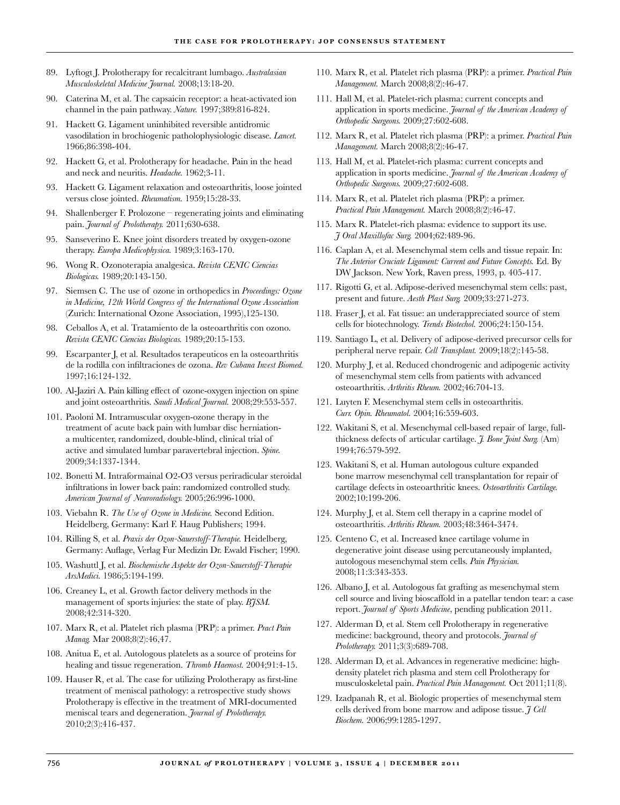- Lyftogt J. Prolotherapy for recalcitrant lumbago. *Australasian*  89. *Musculoskeletal Medicine Journal.* 2008;13:18-20.
- 90. Caterina M, et al. The capsaicin receptor: a heat-activated ion channel in the pain pathway. *Nature.* 1997;389:816-824.
- 91. Hackett G. Ligament uninhibited reversible antidromic vasodilation in brochiogenic patholophysiologic disease. *Lancet.* 1966;86:398-404.
- 92. Hackett G, et al. Prolotherapy for headache. Pain in the head and neck and neuritis. *Headache.* 1962;3-11.
- 93. Hackett G. Ligament relaxation and osteoarthritis, loose jointed versus close jointed. *Rheumatism.* 1959;15:28-33.
- Shallenberger F. Prolozone regenerating joints and eliminating 94. pain. *Journal of Prolotherapy.* 2011;630-638.
- 95. Sanseverino E. Knee joint disorders treated by oxygen-ozone therapy. *Europa Medicophysica.* 1989;3:163-170.
- Wong R. Ozonoterapia analgesica. *Revista CENIC Ciencias*  96. *Biologicas.* 1989;20:143-150.
- Siemsen C. The use of ozone in orthopedics in *Proceedings: Ozone*  97. *in Medicine, 12th World Congress of the International Ozone Association* (Zurich: International Ozone Association, 1995),125-130.
- Ceballos A, et al. Tratamiento de la osteoarthritis con ozono. 98. *Revista CENIC Ciencias Biologicas.* 1989;20:15-153.
- Escarpanter J, et al. Resultados terapeuticos en la osteoarthritis 99. de la rodilla con infiltraciones de ozona. *Rev Cubana Invest Biomed.* 1997;16:124-132.
- Al-Jaziri A. Pain killing effect of ozone-oxygen injection on spine 100. and joint osteoarthritis. *Saudi Medical Journal.* 2008;29:553-557.
- 101. Paoloni M. Intramuscular oxygen-ozone therapy in the treatment of acute back pain with lumbar disc herniationa multicenter, randomized, double-blind, clinical trial of active and simulated lumbar paravertebral injection. *Spine.* 2009;34:1337-1344.
- 102. Bonetti M. Intraformainal O2-O3 versus periradicular steroidal infiltrations in lower back pain: randomized controlled study. *American Journal of Neuroradiology.* 2005;26:996-1000.
- 103. Viebahn R. *The Use of Ozone in Medicine*. Second Edition. Heidelberg, Germany: Karl F. Haug Publishers; 1994.
- 104. Rilling S, et al. *Praxis der Ozon-Sauerstoff-Therapie*. Heidelberg, Germany: Auflage, Verlag Fur Medizin Dr. Ewald Fischer; 1990.
- Washuttl J, et al. *Biochemische Aspekte der Ozon-Sauerstoff-Therapie*  105. *ArsMedici.* 1986;5:194-199.
- 106. Creaney L, et al. Growth factor delivery methods in the management of sports injuries: the state of play. *BJSM.* 2008;42:314-320.
- Marx R, et al. Platelet rich plasma (PRP): a primer. *Pract Pain*  107. *Manag.* Mar 2008;8(2):46,47.
- Anitua E, et al. Autologous platelets as a source of proteins for 108. healing and tissue regeneration. *Thromb Haemost.* 2004;91:4-15.
- 109. Hauser R, et al. The case for utilizing Prolotherapy as first-line treatment of meniscal pathology: a retrospective study shows Prolotherapy is effective in the treatment of MRI-documented meniscal tears and degeneration. *Journal of Prolotherapy.* 2010;2(3):416-437.
- Marx R, et al. Platelet rich plasma (PRP): a primer. *Practical Pain*  110. *Management.* March 2008;8(2):46-47.
- 111. Hall M, et al. Platelet-rich plasma: current concepts and application in sports medicine. *Journal of the American Academy of Orthopedic Surgeons.* 2009;27:602-608.
- Marx R, et al. Platelet rich plasma (PRP): a primer. *Practical Pain*  112. *Management.* March 2008;8(2):46-47.
- 113. Hall M, et al. Platelet-rich plasma: current concepts and application in sports medicine. *Journal of the American Academy of Orthopedic Surgeons.* 2009;27:602-608.
- 114. Marx R, et al. Platelet rich plasma (PRP): a primer. *Practical Pain Management.* March 2008;8(2):46-47.
- 115. Marx R. Platelet-rich plasma: evidence to support its use. *J Oral Maxillofac Surg.* 2004;62:489-96.
- 116. Caplan A, et al. Mesenchymal stem cells and tissue repair. In: *The Anterior Cruciate Ligament: Current and Future Concepts.* Ed. By DW Jackson. New York, Raven press, 1993, p. 405-417.
- 117. Rigotti G, et al. Adipose-derived mesenchymal stem cells: past, present and future. *Aesth Plast Surg.* 2009;33:271-273.
- 118. Fraser J, et al. Fat tissue: an underappreciated source of stem cells for biotechnology. *Trends Biotechol.* 2006;24:150-154.
- 119. Santiago L, et al. Delivery of adipose-derived precursor cells for peripheral nerve repair. *Cell Transplant.* 2009;18(2):145-58.
- 120. Murphy J, et al. Reduced chondrogenic and adipogenic activity of mesenchymal stem cells from patients with advanced osteoarthritis. *Arthritis Rheum.* 2002;46:704-13.
- 121. Luyten F. Mesenchymal stem cells in osteoarthritis. *Curr. Opin. Rheumatol.* 2004;16:559-603.
- 122. Wakitani S, et al. Mesenchymal cell-based repair of large, fullthickness defects of articular cartilage. *J. Bone Joint Surg.* (Am) 1994;76:579-592.
- 123. Wakitani S, et al. Human autologous culture expanded bone marrow mesenchymal cell transplantation for repair of cartilage defects in osteoarthritic knees. *Osteoarthritis Cartilage.* 2002;10:199-206.
- 124. Murphy J, et al. Stem cell therapy in a caprine model of osteoarthritis. *Arthritis Rheum.* 2003;48:3464-3474.
- 125. Centeno C, et al. Increased knee cartilage volume in degenerative joint disease using percutaneously implanted, autologous mesenchymal stem cells. *Pain Physician.* 2008;11:3:343-353.
- 126. Albano J, et al. Autologous fat grafting as mesenchymal stem cell source and living bioscaffold in a patellar tendon tear: a case report. *Journal of Sports Medicine*, pending publication 2011.
- Alderman D, et al. Stem cell Prolotherapy in regenerative 127. medicine: background, theory and protocols. *Journal of Prolotherapy.* 2011;3(3):689-708.
- Alderman D, et al. Advances in regenerative medicine: high-128. density platelet rich plasma and stem cell Prolotherapy for musculoskeletal pain. *Practical Pain Management.* Oct 2011;11(8).
- 129. Izadpanah R, et al. Biologic properties of mesenchymal stem cells derived from bone marrow and adipose tissue. *J Cell Biochem.* 2006;99:1285-1297.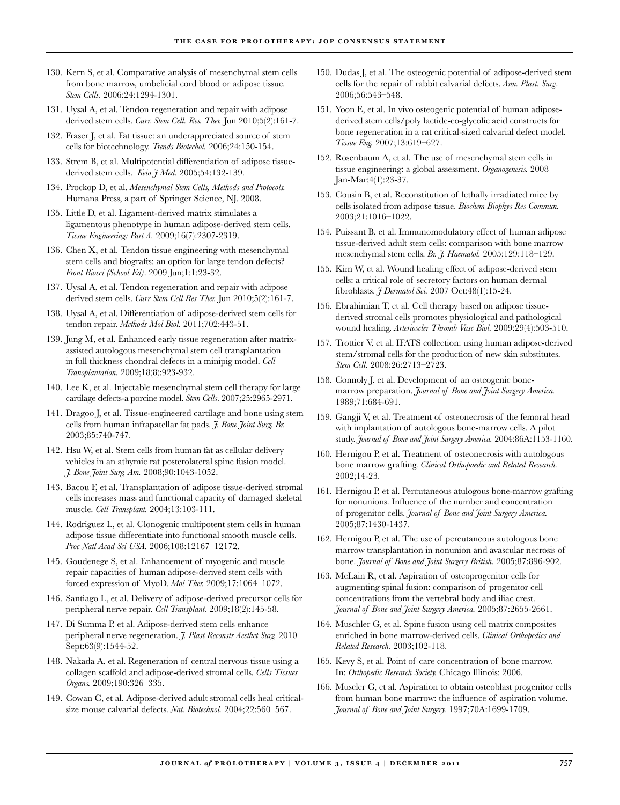- 130. Kern S, et al. Comparative analysis of mesenchymal stem cells from bone marrow, umbelicial cord blood or adipose tissue. *Stem Cells.* 2006;24:1294-1301.
- 131. Uysal A, et al. Tendon regeneration and repair with adipose derived stem cells. *Curr. Stem Cell. Res. Ther.* Jun 2010;5(2):161-7.
- 132. Fraser J, et al. Fat tissue: an underappreciated source of stem cells for biotechnology. *Trends Biotechol.* 2006;24:150-154.
- 133. Strem B, et al. Multipotential differentiation of adipose tissuederived stem cells. *Keio J Med.* 2005;54:132-139.
- 134. Prockop D, et al. Mesenchymal Stem Cells, Methods and Protocols. Humana Press, a part of Springer Science, NJ. 2008.
- 135. Little D, et al. Ligament-derived matrix stimulates a ligamentous phenotype in human adipose-derived stem cells. *Tissue Engineering: Part A.* 2009;16(7):2307-2319.
- 136. Chen X, et al. Tendon tissue engineering with mesenchymal stem cells and biografts: an option for large tendon defects? *Front Biosci (School Ed)*. 2009 Jun;1:1:23-32.
- 137. Uysal A, et al. Tendon regeneration and repair with adipose derived stem cells. *Curr Stem Cell Res Ther.* Jun 2010;5(2):161-7.
- 138. Uysal A, et al. Differentiation of adipose-derived stem cells for tendon repair. *Methods Mol Biol.* 2011;702:443-51.
- 139. Jung M, et al. Enhanced early tissue regeneration after matrixassisted autologous mesenchymal stem cell transplantation in full thickness chondral defects in a minipig model. *Cell Transplantation.* 2009;18(8):923-932.
- 140. Lee K, et al. Injectable mesenchymal stem cell therapy for large cartilage defects-a porcine model. *Stem Cells*. 2007;25:2965-2971.
- 141. Dragoo J, et al. Tissue-engineered cartilage and bone using stem cells from human infrapatellar fat pads. *J. Bone Joint Surg. Br.* 2003;85:740-747.
- 142. Hsu W, et al. Stem cells from human fat as cellular delivery vehicles in an athymic rat posterolateral spine fusion model. *J. Bone Joint Surg. Am.* 2008;90:1043-1052.
- 143. Bacou F, et al. Transplantation of adipose tissue-derived stromal cells increases mass and functional capacity of damaged skeletal muscle. *Cell Transplant.* 2004;13:103-111.
- 144. Rodriguez L, et al. Clonogenic multipotent stem cells in human adipose tissue differentiate into functional smooth muscle cells. *Proc Natl Acad Sci USA.* 2006;108:12167–12172.
- 145. Goudenege S, et al. Enhancement of myogenic and muscle repair capacities of human adipose-derived stem cells with forced expression of MyoD. *Mol Ther.* 2009;17:1064–1072.
- 146. Santiago L, et al. Delivery of adipose-derived precursor cells for peripheral nerve repair. *Cell Transplant.* 2009;18(2):145-58.
- 147. Di Summa P, et al. Adipose-derived stem cells enhance peripheral nerve regeneration. *J. Plast Reconstr Aesthet Surg.* 2010 Sept;63(9):1544-52.
- 148. Nakada A, et al. Regeneration of central nervous tissue using a collagen scaffold and adipose-derived stromal cells. *Cells Tissues Organs.* 2009;190:326–335.
- 149. Cowan C, et al. Adipose-derived adult stromal cells heal criticalsize mouse calvarial defects. *Nat. Biotechnol.* 2004;22:560–567.
- 150. Dudas J, et al. The osteogenic potential of adipose-derived stem cells for the repair of rabbit calvarial defects. *Ann. Plast. Surg*. 2006;56:543–548.
- 151. Yoon E, et al. In vivo osteogenic potential of human adiposederived stem cells/poly lactide-co-glycolic acid constructs for bone regeneration in a rat critical-sized calvarial defect model. *Tissue Eng.* 2007;13:619–627.
- 152. Rosenbaum A, et al. The use of mesenchymal stem cells in tissue engineering: a global assessment. *Organogenesis.* 2008 Jan-Mar;4(1):23-37.
- 153. Cousin B, et al. Reconstitution of lethally irradiated mice by cells isolated from adipose tissue. *Biochem Biophys Res Commun.* 2003;21:1016–1022.
- 154. Puissant B, et al. Immunomodulatory effect of human adipose tissue-derived adult stem cells: comparison with bone marrow mesenchymal stem cells. *Br. J. Haematol.* 2005;129:118–129.
- 155. Kim W, et al. Wound healing effect of adipose-derived stem cells: a critical role of secretory factors on human dermal fibroblasts. *J Dermatol Sci.* 2007 Oct;48(1):15-24.
- Ebrahimian T, et al. Cell therapy based on adipose tissue-156. derived stromal cells promotes physiological and pathological wound healing. *Arterioscler Thromb Vasc Biol.* 2009;29(4):503-510.
- 157. Trottier V, et al. IFATS collection: using human adipose-derived stem/stromal cells for the production of new skin substitutes. *Stem Cell.* 2008;26:2713–2723.
- 158. Connoly J, et al. Development of an osteogenic bonemarrow preparation. *Journal of Bone and Joint Surgery America.* 1989;71:684-691.
- 159. Gangji V, et al. Treatment of osteonecrosis of the femoral head with implantation of autologous bone-marrow cells. A pilot study. *Journal of Bone and Joint Surgery America.* 2004;86A:1153-1160.
- 160. Hernigou P, et al. Treatment of osteonecrosis with autologous bone marrow grafting. *Clinical Orthopaedic and Related Research.* 2002;14-23.
- 161. Hernigou P, et al. Percutaneous atulogous bone-marrow grafting for nonunions. Influence of the number and concentration of progenitor cells. *Journal of Bone and Joint Surgery America.* 2005;87:1430-1437.
- 162. Hernigou P, et al. The use of percutaneous autologous bone marrow transplantation in nonunion and avascular necrosis of bone. *Journal of Bone and Joint Surgery British.* 2005;87:896-902.
- 163. McLain R, et al. Aspiration of osteoprogenitor cells for augmenting spinal fusion: comparison of progenitor cell concentrations from the vertebral body and iliac crest. *Journal of Bone and Joint Surgery America.* 2005;87:2655-2661.
- 164. Muschler G, et al. Spine fusion using cell matrix composites enriched in bone marrow-derived cells. *Clinical Orthopedics and Related Research.* 2003;102-118.
- 165. Kevy S, et al. Point of care concentration of bone marrow. In: *Orthopedic Research Society.* Chicago Illinois: 2006.
- 166. Muscler G, et al. Aspiration to obtain osteoblast progenitor cells from human bone marrow: the influence of aspiration volume. *Journal of Bone and Joint Surgery.* 1997;70A:1699-1709.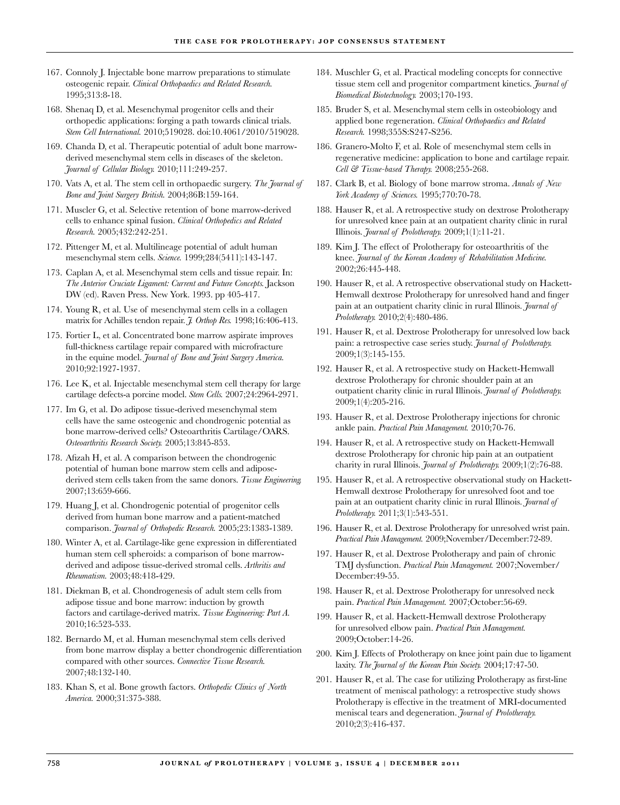- 167. Connoly J. Injectable bone marrow preparations to stimulate osteogenic repair. *Clinical Orthopaedics and Related Research.* 1995;313:8-18.
- 168. Shenaq D, et al. Mesenchymal progenitor cells and their orthopedic applications: forging a path towards clinical trials. *Stem Cell International.* 2010;519028. doi:10.4061/2010/519028.
- 169. Chanda D, et al. Therapeutic potential of adult bone marrowderived mesenchymal stem cells in diseases of the skeleton. *Journal of Cellular Biology.* 2010;111:249-257.
- 170. Vats A, et al. The stem cell in orthopaedic surgery. The Journal of *Bone and Joint Surgery British.* 2004;86B:159-164.
- 171. Muscler G, et al. Selective retention of bone marrow-derived cells to enhance spinal fusion. *Clinical Orthopedics and Related Research.* 2005;432:242-251.
- 172. Pittenger M, et al. Multilineage potential of adult human mesenchymal stem cells. *Science.* 1999;284(5411):143-147.
- 173. Caplan A, et al. Mesenchymal stem cells and tissue repair. In: *The Anterior Cruciate Ligament: Current and Future Concepts.* Jackson DW (ed). Raven Press. New York. 1993. pp 405-417.
- 174. Young R, et al. Use of mesenchymal stem cells in a collagen matrix for Achilles tendon repair. *J. Orthop Res.* 1998;16:406-413.
- 175. Fortier L, et al. Concentrated bone marrow aspirate improves full-thickness cartilage repair compared with microfracture in the equine model. *Journal of Bone and Joint Surgery America.* 2010;92:1927-1937.
- 176. Lee K, et al. Injectable mesenchymal stem cell therapy for large cartilage defects-a porcine model. *Stem Cells.* 2007;24:2964-2971.
- 177. Im G, et al. Do adipose tissue-derived mesenchymal stem cells have the same osteogenic and chondrogenic potential as bone marrow-derived cells? Osteoarthritis Cartilage/OARS. *Osteoarthritis Research Society.* 2005;13:845-853.
- 178. Afizah H, et al. A comparison between the chondrogenic potential of human bone marrow stem cells and adiposederived stem cells taken from the same donors. *Tissue Engineering.* 2007;13:659-666.
- 179. Huang J, et al. Chondrogenic potential of progenitor cells derived from human bone marrow and a patient-matched comparison. *Journal of Orthopedic Research.* 2005;23:1383-1389.
- 180. Winter A, et al. Cartilage-like gene expression in differentiated human stem cell spheroids: a comparison of bone marrowderived and adipose tissue-derived stromal cells. *Arthritis and Rheumatism.* 2003;48:418-429.
- 181. Diekman B, et al. Chondrogenesis of adult stem cells from adipose tissue and bone marrow: induction by growth factors and cartilage-derived matrix. *Tissue Engineering: Part A.* 2010;16:523-533.
- 182. Bernardo M, et al. Human mesenchymal stem cells derived from bone marrow display a better chondrogenic differentiation compared with other sources. *Connective Tissue Research.* 2007;48:132-140.
- 183. Khan S, et al. Bone growth factors. Orthopedic Clinics of North *America.* 2000;31:375-388.
- 184. Muschler G, et al. Practical modeling concepts for connective tissue stem cell and progenitor compartment kinetics. *Journal of Biomedical Biotechnology.* 2003;170-193.
- 185. Bruder S, et al. Mesenchymal stem cells in osteobiology and applied bone regeneration. *Clinical Orthopaedics and Related Research.* 1998;355S:S247-S256.
- 186. Granero-Molto F, et al. Role of mesenchymal stem cells in regenerative medicine: application to bone and cartilage repair. *Cell & Tissue-based Therapy.* 2008;255-268.
- 187. Clark B, et al. Biology of bone marrow stroma. Annals of New *York Academy of Sciences.* 1995;770:70-78.
- 188. Hauser R, et al. A retrospective study on dextrose Prolotherapy for unresolved knee pain at an outpatient charity clinic in rural Illinois. *Journal of Prolotherapy.* 2009;1(1):11-21.
- 189. Kim J. The effect of Prolotherapy for osteoarthritis of the knee. *Journal of the Korean Academy of Rehabilitation Medicine.* 2002;26:445-448.
- 190. Hauser R, et al. A retrospective observational study on Hackett-Hemwall dextrose Prolotherapy for unresolved hand and finger pain at an outpatient charity clinic in rural Illinois. *Journal of Prolotherapy.* 2010;2(4):480-486.
- 191. Hauser R, et al. Dextrose Prolotherapy for unresolved low back pain: a retrospective case series study. *Journal of Prolotherapy.* 2009;1(3):145-155.
- 192. Hauser R, et al. A retrospective study on Hackett-Hemwall dextrose Prolotherapy for chronic shoulder pain at an outpatient charity clinic in rural Illinois. *Journal of Prolotherapy.* 2009;1(4):205-216.
- 193. Hauser R, et al. Dextrose Prolotherapy injections for chronic ankle pain. *Practical Pain Management.* 2010;70-76.
- 194. Hauser R, et al. A retrospective study on Hackett-Hemwall dextrose Prolotherapy for chronic hip pain at an outpatient charity in rural Illinois. *Journal of Prolotherapy.* 2009;1(2):76-88.
- 195. Hauser R, et al. A retrospective observational study on Hackett-Hemwall dextrose Prolotherapy for unresolved foot and toe pain at an outpatient charity clinic in rural Illinois. *Journal of Prolotherapy.* 2011;3(1):543-551.
- 196. Hauser R, et al. Dextrose Prolotherapy for unresolved wrist pain. *Practical Pain Management.* 2009;November/December:72-89.
- 197. Hauser R, et al. Dextrose Prolotherapy and pain of chronic TMJ dysfunction. *Practical Pain Management.* 2007;November/ December:49-55.
- 198. Hauser R, et al. Dextrose Prolotherapy for unresolved neck pain. *Practical Pain Management.* 2007;October:56-69.
- 199. Hauser R, et al. Hackett-Hemwall dextrose Prolotherapy for unresolved elbow pain. *Practical Pain Management.* 2009;October:14-26.
- 200. Kim J. Effects of Prolotherapy on knee joint pain due to ligament laxity. *The Journal of the Korean Pain Society.* 2004;17:47-50.
- 201. Hauser R, et al. The case for utilizing Prolotherapy as first-line treatment of meniscal pathology: a retrospective study shows Prolotherapy is effective in the treatment of MRI-documented meniscal tears and degeneration. *Journal of Prolotherapy.* 2010;2(3):416-437.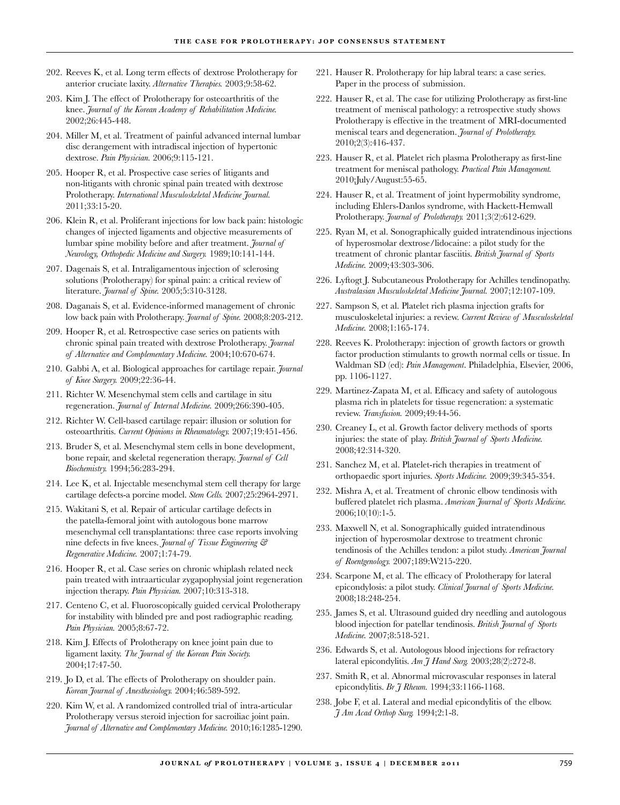- 202. Reeves K, et al. Long term effects of dextrose Prolotherapy for anterior cruciate laxity. *Alternative Therapies.* 2003;9:58-62.
- 203. Kim J. The effect of Prolotherapy for osteoarthritis of the knee. *Journal of the Korean Academy of Rehabilitation Medicine.* 2002;26:445-448.
- 204. Miller M, et al. Treatment of painful advanced internal lumbar disc derangement with intradiscal injection of hypertonic dextrose. *Pain Physician.* 2006;9:115-121.
- 205. Hooper R, et al. Prospective case series of litigants and non-litigants with chronic spinal pain treated with dextrose Prolotherapy. *International Musculoskeletal Medicine Journal.* 2011;33:15-20.
- 206. Klein R, et al. Proliferant injections for low back pain: histologic changes of injected ligaments and objective measurements of lumbar spine mobility before and after treatment. *Journal of Neurology, Orthopedic Medicine and Surgery.* 1989;10:141-144.
- 207. Dagenais S, et al. Intraligamentous injection of sclerosing solutions (Prolotherapy) for spinal pain: a critical review of literature. *Journal of Spine.* 2005;5:310-3128.
- 208. Daganais S, et al. Evidence-informed management of chronic low back pain with Prolotherapy. *Journal of Spine.* 2008;8:203-212.
- 209. Hooper R, et al. Retrospective case series on patients with chronic spinal pain treated with dextrose Prolotherapy. *Journal of Alternative and Complementary Medicine.* 2004;10:670-674.
- 210. Gabbi A, et al. Biological approaches for cartilage repair. *Journal of Knee Surgery.* 2009;22:36-44.
- 211. Richter W. Mesenchymal stem cells and cartilage in situ regeneration. *Journal of Internal Medicine.* 2009;266:390-405.
- 212. Richter W. Cell-based cartilage repair: illusion or solution for osteoarthritis. *Current Opinions in Rheumatology.* 2007;19:451-456.
- 213. Bruder S, et al. Mesenchymal stem cells in bone development, bone repair, and skeletal regeneration therapy. *Journal of Cell Biochemistry.* 1994;56:283-294.
- 214. Lee K, et al. Injectable mesenchymal stem cell therapy for large cartilage defects-a porcine model. *Stem Cells.* 2007;25:2964-2971.
- 215. Wakitani S, et al. Repair of articular cartilage defects in the patella-femoral joint with autologous bone marrow mesenchymal cell transplantations: three case reports involving nine defects in five knees. *Journal of Tissue Engineering & Regenerative Medicine.* 2007;1:74-79.
- 216. Hooper R, et al. Case series on chronic whiplash related neck pain treated with intraarticular zygapophysial joint regeneration injection therapy. *Pain Physician.* 2007;10:313-318.
- 217. Centeno C, et al. Fluoroscopically guided cervical Prolotherapy for instability with blinded pre and post radiographic reading. *Pain Physician.* 2005;8:67-72.
- 218. Kim J. Effects of Prolotherapy on knee joint pain due to ligament laxity. *The Journal of the Korean Pain Society.* 2004;17:47-50.
- 219. Jo D, et al. The effects of Prolotherapy on shoulder pain. *Korean Journal of Anesthesiology.* 2004;46:589-592.
- 220. Kim W, et al. A randomized controlled trial of intra-articular Prolotherapy versus steroid injection for sacroiliac joint pain. *Journal of Alternative and Complementary Medicine.* 2010;16:1285-1290.
- 221. Hauser R. Prolotherapy for hip labral tears: a case series. Paper in the process of submission.
- 222. Hauser R, et al. The case for utilizing Prolotherapy as first-line treatment of meniscal pathology: a retrospective study shows Prolotherapy is effective in the treatment of MRI-documented meniscal tears and degeneration. *Journal of Prolotherapy.* 2010;2(3):416-437.
- 223. Hauser R, et al. Platelet rich plasma Prolotherapy as first-line treatment for meniscal pathology. *Practical Pain Management.* 2010;July/August:55-65.
- 224. Hauser R, et al. Treatment of joint hypermobility syndrome, including Ehlers-Danlos syndrome, with Hackett-Hemwall Prolotherapy. *Journal of Prolotherapy.* 2011;3(2):612-629.
- 225. Ryan M, et al. Sonographically guided intratendinous injections of hyperosmolar dextrose/lidocaine: a pilot study for the treatment of chronic plantar fasciitis. *British Journal of Sports Medicine.* 2009;43:303-306.
- 226. Lyftogt J. Subcutaneous Prolotherapy for Achilles tendinopathy. *Australasian Musculoskeletal Medicine Journal.* 2007;12:107-109.
- 227. Sampson S, et al. Platelet rich plasma injection grafts for musculoskeletal injuries: a review. *Current Review of Musculoskeletal Medicine.* 2008;1:165-174.
- 228. Reeves K. Prolotherapy: injection of growth factors or growth factor production stimulants to growth normal cells or tissue. In Waldman SD (ed): *Pain Management*. Philadelphia, Elsevier, 2006, pp. 1106-1127.
- 229. Martinez-Zapata M, et al. Efficacy and safety of autologous plasma rich in platelets for tissue regeneration: a systematic review. *Transfusion.* 2009;49:44-56.
- 230. Creaney L, et al. Growth factor delivery methods of sports injuries: the state of play. *British Journal of Sports Medicine.* 2008;42:314-320.
- 231. Sanchez M, et al. Platelet-rich therapies in treatment of orthopaedic sport injuries. *Sports Medicine.* 2009;39:345-354.
- 232. Mishra A, et al. Treatment of chronic elbow tendinosis with buffered platelet rich plasma. *American Journal of Sports Medicine.* 2006;10(10):1-5.
- 233. Maxwell N, et al. Sonographically guided intratendinous injection of hyperosmolar dextrose to treatment chronic tendinosis of the Achilles tendon: a pilot study. *American Journal of Roentgenology.* 2007;189:W215-220.
- 234. Scarpone M, et al. The efficacy of Prolotherapy for lateral epicondylosis: a pilot study. *Clinical Journal of Sports Medicine.*  2008;18:248-254.
- 235. James S, et al. Ultrasound guided dry needling and autologous blood injection for patellar tendinosis. *British Journal of Sports Medicine.* 2007;8:518-521.
- Edwards S, et al. Autologous blood injections for refractory 236. lateral epicondylitis. *Am J Hand Surg.* 2003;28(2):272-8.
- 237. Smith R, et al. Abnormal microvascular responses in lateral epicondylitis. *Br J Rheum.* 1994;33:1166-1168.
- 238. Jobe F, et al. Lateral and medial epicondylitis of the elbow. *J Am Acad Orthop Surg.* 1994;2:1-8.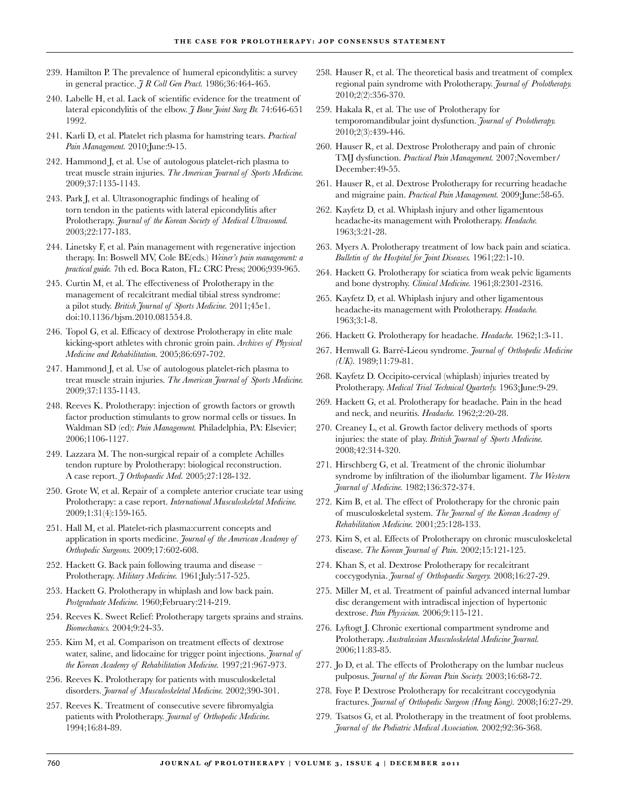- 239. Hamilton P. The prevalence of humeral epicondylitis: a survey in general practice. *J R Coll Gen Pract.* 1986;36:464-465.
- 240. Labelle H, et al. Lack of scientific evidence for the treatment of lateral epicondylitis of the elbow. *J Bone Joint Surg Br.* 74:646-651 1992.
- 241. Karli D, et al. Platelet rich plasma for hamstring tears. *Practical Pain Management.* 2010;June:9-15.
- 242. Hammond J, et al. Use of autologous platelet-rich plasma to treat muscle strain injuries. *The American Journal of Sports Medicine.* 2009;37:1135-1143.
- 243. Park J, et al. Ultrasonographic findings of healing of torn tendon in the patients with lateral epicondylitis after Prolotherapy. *Journal of the Korean Society of Medical Ultrasound.* 2003;22:177-183.
- 244. Linetsky F, et al. Pain management with regenerative injection therapy. In: Boswell MV, Cole BE(eds.) *Weiner's pain management: a practical guide.* 7th ed. Boca Raton, FL: CRC Press; 2006;939-965.
- 245. Curtin M, et al. The effectiveness of Prolotherapy in the management of recalcitrant medial tibial stress syndrome: a pilot study. *British Journal of Sports Medicine.* 2011;45e1. doi:10.1136/bjsm.2010.081554.8.
- 246. Topol G, et al. Efficacy of dextrose Prolotherapy in elite male kicking-sport athletes with chronic groin pain. *Archives of Physical Medicine and Rehabilitation.* 2005;86:697-702.
- 247. Hammond J, et al. Use of autologous platelet-rich plasma to treat muscle strain injuries. *The American Journal of Sports Medicine.* 2009;37:1135-1143.
- 248. Reeves K. Prolotherapy: injection of growth factors or growth factor production stimulants to grow normal cells or tissues. In Waldman SD (ed): *Pain Management.* Philadelphia, PA: Elsevier; 2006;1106-1127.
- 249. Lazzara M. The non-surgical repair of a complete Achilles tendon rupture by Prolotherapy: biological reconstruction. A case report. *J Orthopaedic Med.* 2005;27:128-132.
- 250. Grote W, et al. Repair of a complete anterior cruciate tear using Prolotherapy: a case report. *International Musculoskeletal Medicine.* 2009;1:31(4):159-165.
- 251. Hall M, et al. Platelet-rich plasma: current concepts and application in sports medicine. *Journal of the American Academy of Orthopedic Surgeons.* 2009;17:602-608.
- 252. Hackett G. Back pain following trauma and disease -Prolotherapy. *Military Medicine.* 1961;July:517-525.
- 253. Hackett G. Prolotherapy in whiplash and low back pain. *Postgraduate Medicine.* 1960;February:214-219.
- 254. Reeves K. Sweet Relief: Prolotherapy targets sprains and strains. *Biomechanics.* 2004;9:24-35.
- 255. Kim M, et al. Comparison on treatment effects of dextrose water, saline, and lidocaine for trigger point injections. *Journal of the Korean Academy of Rehabilitation Medicine.* 1997;21:967-973.
- 256. Reeves K. Prolotherapy for patients with musculoskeletal disorders. *Journal of Musculoskeletal Medicine.* 2002;390-301.
- 257. Reeves K. Treatment of consecutive severe fibromyalgia patients with Prolotherapy. *Journal of Orthopedic Medicine.* 1994;16:84-89.
- 258. Hauser R, et al. The theoretical basis and treatment of complex regional pain syndrome with Prolotherapy. *Journal of Prolotherapy.* 2010;2(2):356-370.
- 259. Hakala R, et al. The use of Prolotherapy for temporomandibular joint dysfunction. *Journal of Prolotherapy.* 2010;2(3):439-446.
- 260. Hauser R, et al. Dextrose Prolotherapy and pain of chronic TMJ dysfunction. *Practical Pain Management.* 2007;November/ December:49-55.
- 261. Hauser R, et al. Dextrose Prolotherapy for recurring headache and migraine pain. *Practical Pain Management.* 2009;June:58-65.
- 262. Kayfetz D, et al. Whiplash injury and other ligamentous headache-its management with Prolotherapy. *Headache.* 1963;3:21-28.
- 263. Myers A. Prolotherapy treatment of low back pain and sciatica. *Bulletin of the Hospital for Joint Diseases.* 1961;22:1-10.
- 264. Hackett G. Prolotherapy for sciatica from weak pelvic ligaments and bone dystrophy. *Clinical Medicine.* 1961;8:2301-2316.
- 265. Kayfetz D, et al. Whiplash injury and other ligamentous headache-its management with Prolotherapy. *Headache.* 1963;3:1-8.
- 266. Hackett G. Prolotherapy for headache. Headache. 1962;1:3-11.
- 267. Hemwall G. Barré-Lieou syndrome. *Journal of Orthopedic Medicine (UK).* 1989;11:79-81.
- 268. Kayfetz D. Occipito-cervical (whiplash) injuries treated by Prolotherapy. *Medical Trial Technical Quarterly.* 1963;June:9-29.
- 269. Hackett G, et al. Prolotherapy for headache. Pain in the head and neck, and neuritis. *Headache.* 1962;2:20-28.
- 270. Creaney L, et al. Growth factor delivery methods of sports injuries: the state of play. *British Journal of Sports Medicine.* 2008;42:314-320.
- 271. Hirschberg G, et al. Treatment of the chronic iliolumbar syndrome by infiltration of the iliolumbar ligament. *The Western Journal of Medicine.* 1982;136:372-374.
- 272. Kim B, et al. The effect of Prolotherapy for the chronic pain of musculoskeletal system. *The Journal of the Korean Academy of Rehabilitation Medicine.* 2001;25:128-133.
- 273. Kim S, et al. Effects of Prolotherapy on chronic musculoskeletal disease. *The Korean Journal of Pain.* 2002;15:121-125.
- 274. Khan S, et al. Dextrose Prolotherapy for recalcitrant coccygodynia. *Journal of Orthopaedic Surgery.* 2008;16:27-29.
- 275. Miller M, et al. Treatment of painful advanced internal lumbar disc derangement with intradiscal injection of hypertonic dextrose. *Pain Physician.* 2006;9:115-121.
- 276. Lyftogt J. Chronic exertional compartment syndrome and Prolotherapy. *Australasian Musculoskeletal Medicine Journal.* 2006;11:83-85.
- 277. Jo D, et al. The effects of Prolotherapy on the lumbar nucleus pulposus. *Journal of the Korean Pain Society.* 2003;16:68-72.
- 278. Foye P. Dextrose Prolotherapy for recalcitrant coccygodynia fractures. *Journal of Orthopedic Surgeon (Hong Kong).* 2008;16:27-29.
- 279. Tsatsos G, et al. Prolotherapy in the treatment of foot problems. *Journal of the Podiatric Medical Association.* 2002;92:36-368.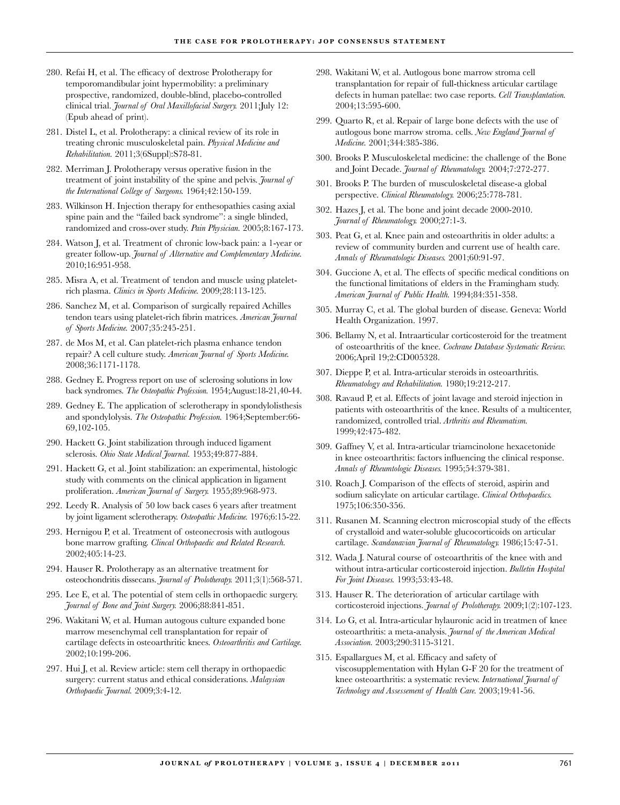- 280. Refai H, et al. The efficacy of dextrose Prolotherapy for temporomandibular joint hypermobility: a preliminary prospective, randomized, double-blind, placebo-controlled clinical trial. *Journal of Oral Maxillofacial Surgery.* 2011;July 12: (Epub ahead of print).
- 281. Distel L, et al. Prolotherapy: a clinical review of its role in treating chronic musculoskeletal pain. *Physical Medicine and Rehabilitation.* 2011;3(6Suppl):S78-81.
- 282. Merriman J. Prolotherapy versus operative fusion in the treatment of joint instability of the spine and pelvis. *Journal of the International College of Surgeons.* 1964;42:150-159.
- 283. Wilkinson H. Injection therapy for enthesopathies casing axial spine pain and the "failed back syndrome": a single blinded, randomized and cross-over study. *Pain Physician.* 2005;8:167-173.
- 284. Watson J, et al. Treatment of chronic low-back pain: a 1-year or greater follow-up. *Journal of Alternative and Complementary Medicine.* 2010;16:951-958.
- 285. Misra A, et al. Treatment of tendon and muscle using plateletrich plasma. *Clinics in Sports Medicine.* 2009;28:113-125.
- 286. Sanchez M, et al. Comparison of surgically repaired Achilles tendon tears using platelet-rich fibrin matrices. *American Journal of Sports Medicine.* 2007;35:245-251.
- 287. de Mos M, et al. Can platelet-rich plasma enhance tendon repair? A cell culture study. *American Journal of Sports Medicine.* 2008;36:1171-1178.
- 288. Gedney E. Progress report on use of sclerosing solutions in low back syndromes. *The Osteopathic Profession.* 1954;August:18-21,40-44.
- 289. Gedney E. The application of sclerotherapy in spondylolisthesis and spondylolysis. *The Osteopathic Profession.* 1964;September:66- 69,102-105.
- 290. Hackett G. Joint stabilization through induced ligament sclerosis. *Ohio State Medical Journal.* 1953;49:877-884.
- 291. Hackett G, et al. Joint stabilization: an experimental, histologic study with comments on the clinical application in ligament proliferation. *American Journal of Surgery.* 1955;89:968-973.
- 292. Leedy R. Analysis of 50 low back cases 6 years after treatment by joint ligament sclerotherapy. *Osteopathic Medicine.* 1976;6:15-22.
- 293. Hernigou P, et al. Treatment of osteonecrosis with autlogous bone marrow grafting. *Clincal Orthopaedic and Related Research.* 2002;405:14-23.
- 294. Hauser R. Prolotherapy as an alternative treatment for osteochondritis dissecans. *Journal of Prolotherapy.* 2011;3(1):568-571.
- 295. Lee E, et al. The potential of stem cells in orthopaedic surgery. *Journal of Bone and Joint Surgery.* 2006;88:841-851.
- 296. Wakitani W, et al. Human autogous culture expanded bone marrow mesenchymal cell transplantation for repair of cartilage defects in osteoarthritic knees. *Osteoarthritis and Cartilage.* 2002;10:199-206.
- 297. Hui J, et al. Review article: stem cell therapy in orthopaedic surgery: current status and ethical considerations. *Malaysian Orthopaedic Journal.* 2009;3:4-12.
- Wakitani W, et al. Autlogous bone marrow stroma cell 298. transplantation for repair of full-thickness articular cartilage defects in human patellae: two case reports. *Cell Transplantation.* 2004;13:595-600.
- 299. Quarto R, et al. Repair of large bone defects with the use of autlogous bone marrow stroma. cells. *New England Journal of Medicine.* 2001;344:385-386.
- 300. Brooks P. Musculoskeletal medicine: the challenge of the Bone and Joint Decade. *Journal of Rheumatology.* 2004;7:272-277.
- 301. Brooks P. The burden of musculoskeletal disease-a global perspective. *Clinical Rheumatology.* 2006;25:778-781.
- 302. Hazes J, et al. The bone and joint decade 2000-2010. *Journal of Rheumatology.* 2000;27:1-3.
- 303. Peat G, et al. Knee pain and osteoarthritis in older adults: a review of community burden and current use of health care. *Annals of Rheumatologic Diseases.* 2001;60:91-97.
- 304. Guccione A, et al. The effects of specific medical conditions on the functional limitations of elders in the Framingham study. *American Journal of Public Health.* 1994;84:351-358.
- 305. Murray C, et al. The global burden of disease. Geneva: World Health Organization. 1997.
- 306. Bellamy N, et al. Intraarticular corticosteroid for the treatment of osteoarthritis of the knee. *Cochrane Database Systematic Review.* 2006;April 19;2:CD005328.
- 307. Dieppe P, et al. Intra-articular steroids in osteoarthritis. *Rheumatology and Rehabilitation.* 1980;19:212-217.
- 308. Ravaud P, et al. Effects of joint lavage and steroid injection in patients with osteoarthritis of the knee. Results of a multicenter, randomized, controlled trial. *Arthritis and Rheumatism.* 1999;42:475-482.
- 309. Gaffney V, et al. Intra-articular triamcinolone hexacetonide in knee osteoarthritis: factors influencing the clinical response. *Annals of Rheumtologic Diseases.* 1995;54:379-381.
- 310. Roach J. Comparison of the effects of steroid, aspirin and sodium salicylate on articular cartilage. *Clinical Orthopaedics.* 1975;106:350-356.
- 311. Rusanen M. Scanning electron microscopial study of the effects of crystalloid and water-soluble glucocorticoids on articular cartilage. *Scandanavian Journal of Rheumatology.* 1986;15:47-51.
- 312. Wada J. Natural course of osteoarthritis of the knee with and without intra-articular corticosteroid injection. *Bulletin Hospital For Joint Diseases.* 1993;53:43-48.
- 313. Hauser R. The deterioration of articular cartilage with corticosteroid injections. *Journal of Prolotherapy.* 2009;1(2):107-123.
- 314. Lo G, et al. Intra-articular hylauronic acid in treatmen of knee osteoarthritis: a meta-analysis. *Journal of the American Medical Association.* 2003;290:3115-3121.
- 315. Espallargues M, et al. Efficacy and safety of viscosupplementation with Hylan G-F 20 for the treatment of knee osteoarthritis: a systematic review. *International Journal of Technology and Assessement of Health Care.* 2003;19:41-56.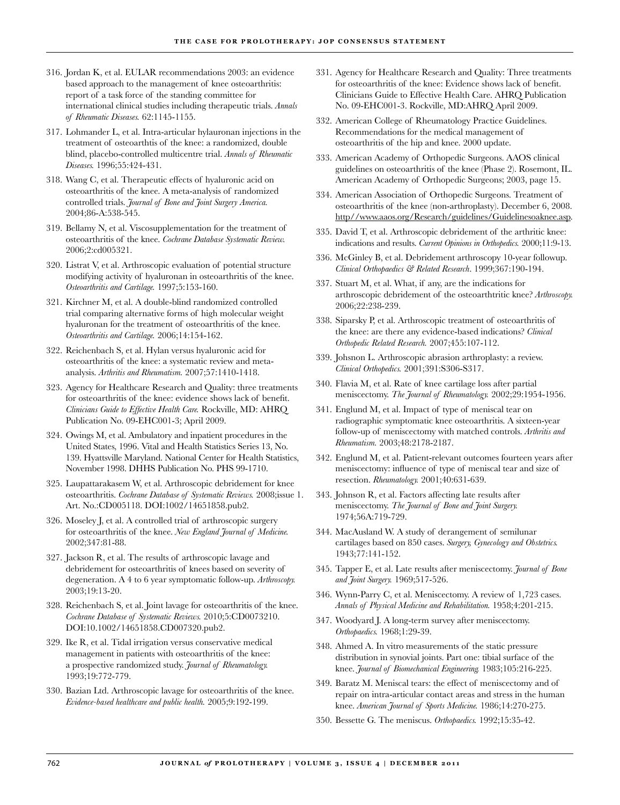- 316. Jordan K, et al. EULAR recommendations 2003: an evidence based approach to the management of knee osteoarthritis: report of a task force of the standing committee for international clinical studies including therapeutic trials. *Annals of Rheumatic Diseases.* 62:1145-1155.
- Lohmander L, et al. Intra-articular hylauronan injections in the 317. treatment of osteoarthtis of the knee: a randomized, double blind, placebo-controlled multicentre trial. *Annals of Rheumatic Diseases.* 1996;55:424-431.
- 318. Wang C, et al. Therapeutic effects of hyaluronic acid on osteoarthritis of the knee. A meta-analysis of randomized controlled trials. *Journal of Bone and Joint Surgery America.* 2004;86-A:538-545.
- 319. Bellamy N, et al. Viscosupplementation for the treatment of osteoarthritis of the knee. *Cochrane Database Systematic Review.* 2006;2:cd005321.
- 320. Listrat V, et al. Arthroscopic evaluation of potential structure modifying activity of hyaluronan in osteoarthritis of the knee. *Osteoarthritis and Cartilage.* 1997;5:153-160.
- 321. Kirchner M, et al. A double-blind randomized controlled trial comparing alternative forms of high molecular weight hyaluronan for the treatment of osteoarthritis of the knee. *Osteoarthritis and Cartilage.* 2006;14:154-162.
- 322. Reichenbach S, et al. Hylan versus hyaluronic acid for osteoarthritis of the knee: a systematic review and metaanalysis. *Arthritis and Rheumatism.* 2007;57:1410-1418.
- 323. Agency for Healthcare Research and Quality: three treatments for osteoarthritis of the knee: evidence shows lack of benefit. *Clinicians Guide to Effective Health Care.* Rockville, MD: AHRQ Publication No. 09-EHC001-3; April 2009.
- 324. Owings M, et al. Ambulatory and inpatient procedures in the United States, 1996. Vital and Health Statistics Series 13, No. 139. Hyattsville Maryland. National Center for Health Statistics, November 1998. DHHS Publication No. PHS 99-1710.
- 325. Laupattarakasem W, et al. Arthroscopic debridement for knee osteoarthritis. *Cochrane Database of Systematic Reviews.* 2008;issue 1. Art. No.:CD005118. DOI:1002/14651858.pub2.
- 326. Moseley J, et al. A controlled trial of arthroscopic surgery for osteoarthritis of the knee. *New England Journal of Medicine.* 2002;347:81-88.
- 327. Jackson R, et al. The results of arthroscopic lavage and debridement for osteoarthritis of knees based on severity of degeneration. A 4 to 6 year symptomatic follow-up. *Arthroscopy.* 2003;19:13-20.
- 328. Reichenbach S, et al. Joint lavage for osteoarthritis of the knee. *Cochrane Database of Systematic Reviews.* 2010;5:CD0073210. DOI:10.1002/14651858.CD007320.pub2.
- 329. Ike R, et al. Tidal irrigation versus conservative medical management in patients with osteoarthritis of the knee: a prospective randomized study. *Journal of Rheumatology.* 1993;19:772-779.
- 330. Bazian Ltd. Arthroscopic lavage for osteoarthritis of the knee. *Evidence-based healthcare and public health.* 2005;9:192-199.
- 331. Agency for Healthcare Research and Quality: Three treatments for osteoarthritis of the knee: Evidence shows lack of benefit. Clinicians Guide to Effective Health Care. AHRQ Publication No. 09-EHC001-3. Rockville, MD:AHRQ April 2009.
- American College of Rheumatology Practice Guidelines. 332. Recommendations for the medical management of osteoarthritis of the hip and knee. 2000 update.
- American Academy of Orthopedic Surgeons. AAOS clinical 333. guidelines on osteoarthritis of the knee (Phase 2). Rosemont, IL. American Academy of Orthopedic Surgeons; 2003, page 15.
- American Association of Orthopedic Surgeons. Treatment of 334. osteoarthritis of the knee (non-arthroplasty). December 6, 2008. http//www.aaos.org/Research/guidelines/Guidelinesoaknee.asp.
- 335. David T, et al. Arthroscopic debridement of the arthritic knee: indications and results. *Current Opinions in Orthopedics.* 2000;11:9-13.
- 336. McGinley B, et al. Debridement arthroscopy 10-year followup. *Clinical Orthopaedics & Related Research*. 1999;367:190-194.
- 337. Stuart M, et al. What, if any, are the indications for arthroscopic debridement of the osteoarthtritic knee? *Arthroscopy.* 2006;22:238-239.
- 338. Siparsky P, et al. Arthroscopic treatment of osteoarthritis of the knee: are there any evidence-based indications? *Clinical Orthopedic Related Research.* 2007;455:107-112.
- 339. Johsnon L. Arthroscopic abrasion arthroplasty: a review. *Clinical Orthopedics.* 2001;391:S306-S317.
- 340. Flavia M, et al. Rate of knee cartilage loss after partial meniscectomy. *The Journal of Rheumatology.* 2002;29:1954-1956.
- 341. Englund M, et al. Impact of type of meniscal tear on radiographic symptomatic knee osteoarthritis. A sixteen-year follow-up of meniscectomy with matched controls. *Arthritis and Rheumatism.* 2003;48:2178-2187.
- 342. Englund M, et al. Patient-relevant outcomes fourteen years after meniscectomy: influence of type of meniscal tear and size of resection. *Rheumatology.* 2001;40:631-639.
- 343. Johnson R, et al. Factors affecting late results after meniscectomy. *The Journal of Bone and Joint Surgery.* 1974;56A:719-729.
- 344. MacAusland W. A study of derangement of semilunar cartilages based on 850 cases. *Surgery, Gynecology and Obstetrics.* 1943;77:141-152.
- Tapper E, et al. Late results after meniscectomy. *Journal of Bone*  345. *and Joint Surgery.* 1969;517-526.
- 346. Wynn-Parry C, et al. Meniscectomy. A review of 1,723 cases. *Annals of Physical Medicine and Rehabilitation.* 1958;4:201-215.
- 347. Woodyard J. A long-term survey after meniscectomy. *Orthopaedics.* 1968;1:29-39.
- Ahmed A. In vitro measurements of the static pressure 348. distribution in synovial joints. Part one: tibial surface of the knee. *Journal of Biomechanical Engineering.* 1983;105:216-225.
- 349. Baratz M. Meniscal tears: the effect of meniscectomy and of repair on intra-articular contact areas and stress in the human knee. *American Journal of Sports Medicine.* 1986;14:270-275.
- 350. Bessette G. The meniscus. Orthopaedics. 1992;15:35-42.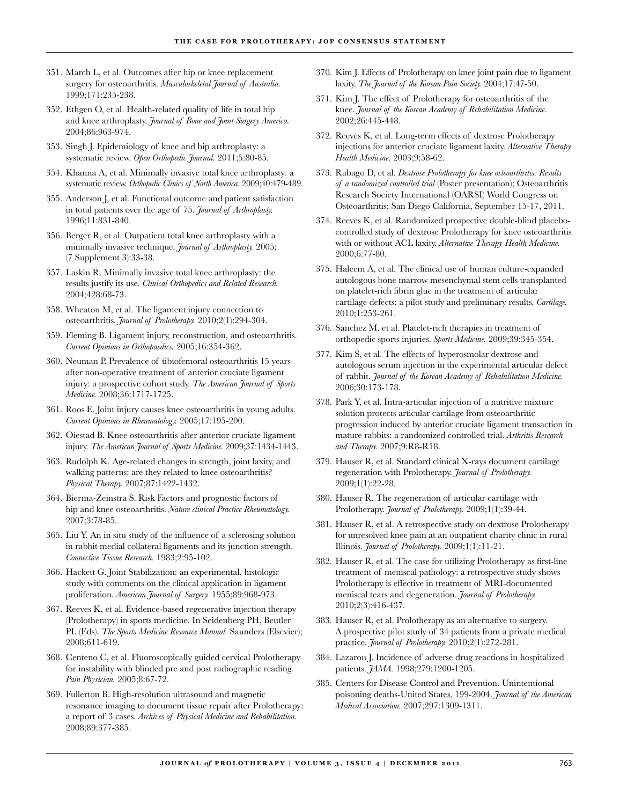- 351. March L, et al. Outcomes after hip or knee replacement surgery for osteoarthritis. *Musculoskeletal Journal of Australia.* 1999;171:235-238.
- 352. Ethgen O, et al. Health-related quality of life in total hip and knee arthroplasty. *Journal of Bone and Joint Surgery America.* 2004;86:963-974.
- Singh J. Epidemiology of knee and hip arthroplasty: a 353. systematic review. *Open Orthopedic Journal.* 2011;5:80-85.
- 354. Khanna A, et al. Minimally invasive total knee arthroplasty: a systematic review. *Orthopedic Clinics of North America.* 2009;40:479-489.
- 355. Anderson J, et al. Functional outcome and patient satisfaction in total patients over the age of 75. *Journal of Arthroplasty.* 1996;11:831-840.
- 356. Berger R, et al. Outpatient total knee arthroplasty with a minimally invasive technique. *Journal of Arthroplasty.* 2005; (7 Supplement 3):33-38.
- 357. Laskin R. Minimally invasive total knee arthroplasty: the results justify its use. *Clinical Orthopedics and Related Research.* 2004;428:68-73.
- 358. Wheaton M, et al. The ligament injury connection to osteoarthritis. *Journal of Prolotherapy.* 2010;2(1):294-304.
- 359. Fleming B. Ligament injury, reconstruction, and osteoarthritis. *Current Opinions in Orthopaedics.* 2005;16:354-362.
- 360. Neuman P. Prevalence of tibiofemoral osteoarthritis 15 years after non-operative treatment of anterior cruciate ligament injury: a prospective cohort study. *The American Journal of Sports Medicine.* 2008;36:1717-1725.
- 361. Roos E. Joint injury causes knee osteoarthritis in young adults. *Current Opinions in Rheumatology.* 2005;17:195-200.
- 362. Oiestad B. Knee osteoarthritis after anterior cruciate ligament injury. *The American Journal of Sports Medicine.* 2009;37:1434-1443.
- 363. Rudolph K. Age-related changes in strength, joint laxity, and walking patterns: are they related to knee osteoarthritis? *Physical Therapy.* 2007;87:1422-1432.
- 364. Bierma-Zeinstra S. Risk Factors and prognostic factors of hip and knee osteoarthritis. *Nature clinical Practice Rheumatology.* 2007;3:78-85.
- 365. Liu Y. An in situ study of the influence of a sclerosing solution in rabbit medial collateral ligaments and its junction strength. *Connective Tissue Research.* 1983;2:95-102.
- 366. Hackett G. Joint Stabilization: an experimental, histologic study with comments on the clinical application in ligament proliferation. *American Journal of Surgery.* 1955;89:968-973.
- 367. Reeves K, et al. Evidence-based regenerative injection therapy (Prolotherapy) in sports medicine. In Seidenberg PH, Beutler PI. (Eds). *The Sports Medicine Resource Manual.* Saunders (Elsevier); 2008;611-619.
- 368. Centeno C, et al. Fluoroscopically guided cervical Prolotherapy for instability with blinded pre and post radiographic reading. *Pain Physician.* 2005;8:67-72.
- 369. Fullerton B. High-resolution ultrasound and magnetic resonance imaging to document tissue repair after Prolotherapy: a report of 3 cases. *Archives of Physical Medicine and Rehabilitation.* 2008;89:377-385.
- 370. Kim J. Effects of Prolotherapy on knee joint pain due to ligament laxity. *The Journal of the Korean Pain Society.* 2004;17:47-50.
- 371. Kim J. The effect of Prolotherapy for osteoarthritis of the knee. *Journal of the Korean Academy of Rehabilitation Medicine.* 2002;26:445-448.
- 372. Reeves K, et al. Long-term effects of dextrose Prolotherapy injections for anterior cruciate ligament laxity. *Alternative Therapy Health Medicine*. 2003;9:58-62.
- 373. Rabago D, et al. *Dextrose Prolotherapy for knee osteoarthritis: Results of a randomized controlled trial* (Poster presentation); Osteoarthritis Research Society International (OARSI) World Congress on Osteoarthritis; San Diego California, September 15-17, 2011.
- 374. Reeves K, et al. Randomized prospective double-blind placebocontrolled study of dextrose Prolotherapy for knee osteoarthritis with or without ACL laxity. *Alternative Therapy Health Medicine.* 2000;6:77-80.
- 375. Haleem A, et al. The clinical use of human culture-expanded autologous bone marrow mesenchymal stem cells transplanted on platelet-rich fibrin glue in the treatment of articular cartilage defects: a pilot study and preliminary results. *Cartilage.* 2010;1:253-261.
- 376. Sanchez M, et al. Platelet-rich therapies in treatment of orthopedic sports injuries. *Sports Medicine.* 2009;39:345-354.
- 377. Kim S, et al. The effects of hyperosmolar dextrose and autologous serum injection in the experimental articular defect of rabbit. *Journal of the Korean Academy of Rehabilitation Medicine.* 2006;30:173-178.
- 378. Park Y, et al. Intra-articular injection of a nutritive mixture solution protects articular cartilage from osteoarthritic progression induced by anterior cruciate ligament transaction in mature rabbits: a randomized controlled trial. *Arthritis Research and Therapy.* 2007;9:R8-R18.
- 379. Hauser R, et al. Standard clinical X-rays document cartilage regeneration with Prolotherapy. *Journal of Prolotherapy.* 2009;1(1):22-28.
- 380. Hauser R. The regeneration of articular cartilage with Prolotherapy. *Journal of Prolotherapy.* 2009;1(1):39-44.
- 381. Hauser R, et al. A retrospective study on dextrose Prolotherapy for unresolved knee pain at an outpatient charity clinic in rural Illinois. *Journal of Prolotherapy.* 2009;1(1):11-21.
- 382. Hauser R, et al. The case for utilizing Prolotherapy as first-line treatment of meniscal pathology: a retrospective study shows Prolotherapy is effective in treatment of MRI-documented meniscal tears and degeneration. *Journal of Prolotherapy.* 2010;2(3):416-437.
- 383. Hauser R, et al. Prolotherapy as an alternative to surgery. A prospective pilot study of 34 patients from a private medical practice. *Journal of Prolotherapy.* 2010;2(1):272-281.
- 384. Lazarou J. Incidence of adverse drug reactions in hospitalized patients. *JAMA.* 1998;279:1200-1205.
- 385. Centers for Disease Control and Prevention. Unintentional poisoning deaths-United States, 199-2004. *Journal of the American Medical Association.* 2007;297:1309-1311.